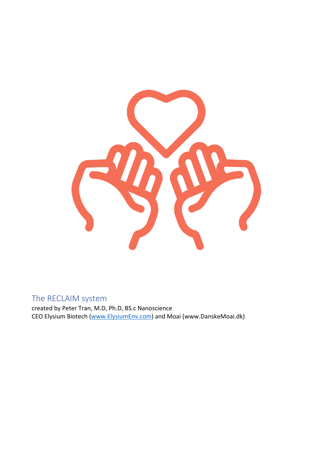

# The RECLAIM system

created by Peter Tran, M.D, Ph.D, BS.c Nanoscience CEO Elysium Biotech (www.ElysiumEnv.com) and Moai (www.DanskeMoai.dk)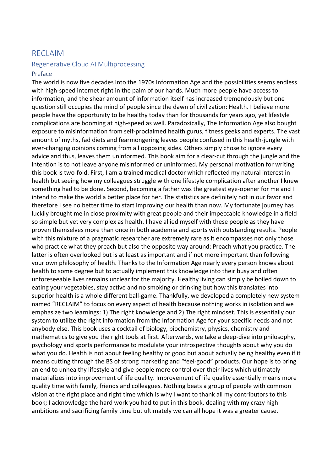# RECLAIM

### Regenerative Cloud AI Multiprocessing

#### Preface

The world is now five decades into the 1970s Information Age and the possibilities seems endless with high-speed internet right in the palm of our hands. Much more people have access to information, and the shear amount of information itself has increased tremendously but one question still occupies the mind of people since the dawn of civilization: Health. I believe more people have the opportunity to be healthy today than for thousands for years ago, yet lifestyle complications are booming at high-speed as well. Paradoxically, The Information Age also bought exposure to misinformation from self-proclaimed health gurus, fitness geeks and experts. The vast amount of myths, fad diets and fearmongering leaves people confused in this health-jungle with ever-changing opinions coming from all opposing sides. Others simply chose to ignore every advice and thus, leaves them uninformed. This book aim for a clear-cut through the jungle and the intention is to not leave anyone misinformed or uninformed. My personal motivation for writing this book is two-fold. First, I am a trained medical doctor which reflected my natural interest in health but seeing how my colleagues struggle with one lifestyle complication after another I knew something had to be done. Second, becoming a father was the greatest eye-opener for me and I intend to make the world a better place for her. The statistics are definitely not in our favor and therefore I see no better time to start improving our health than now. My fortunate journey has luckily brought me in close proximity with great people and their impeccable knowledge in a field so simple but yet very complex as health. I have allied myself with these people as they have proven themselves more than once in both academia and sports with outstanding results. People with this mixture of a pragmatic researcher are extremely rare as it encompasses not only those who practice what they preach but also the opposite way around: Preach what you practice. The latter is often overlooked but is at least as important and if not more important than following your own philosophy of health. Thanks to the Information Age nearly every person knows about health to some degree but to actually implement this knowledge into their busy and often unforeseeable lives remains unclear for the majority. Healthy living can simply be boiled down to eating your vegetables, stay active and no smoking or drinking but how this translates into superior health is a whole different ball-game. Thankfully, we developed a completely new system named "RECLAIM" to focus on every aspect of health because nothing works in isolation and we emphasize two learnings: 1) The right knowledge and 2) The right mindset. This is essentially our system to utilize the right information from the Information Age for your specific needs and not anybody else. This book uses a cocktail of biology, biochemistry, physics, chemistry and mathematics to give you the right tools at first. Afterwards, we take a deep-dive into philosophy, psychology and sports performance to modulate your introspective thoughts about why you do what you do. Health is not about feeling healthy or good but about actually being healthy even if it means cutting through the BS of strong marketing and "feel-good" products. Our hope is to bring an end to unhealthy lifestyle and give people more control over their lives which ultimately materializes into improvement of life quality. Improvement of life quality essentially means more quality time with family, friends and colleagues. Nothing beats a group of people with common vision at the right place and right time which is why I want to thank all my contributors to this book; I acknowledge the hard work you had to put in this book, dealing with my crazy high ambitions and sacrificing family time but ultimately we can all hope it was a greater cause.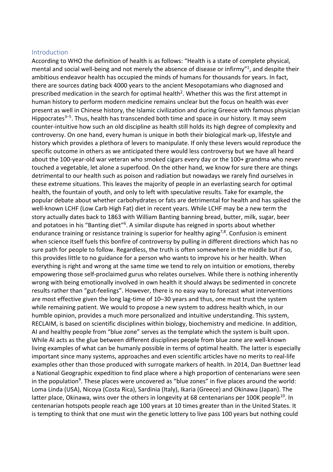#### Introduction

According to WHO the definition of health is as follows: "Health is a state of complete physical, mental and social well-being and not merely the absence of disease or infirmy"<sup>1</sup>, and despite their ambitious endeavor health has occupied the minds of humans for thousands for years. In fact, there are sources dating back 4000 years to the ancient Mesopotamians who diagnosed and prescribed medication in the search for optimal health<sup>2</sup>. Whether this was the first attempt in human history to perform modern medicine remains unclear but the focus on health was ever present as well in Chinese history, the Islamic civilization and during Greece with famous physician Hippocrates<sup>3–5</sup>. Thus, health has transcended both time and space in our history. It may seem counter-intuitive how such an old discipline as health still holds its high degree of complexity and controversy. On one hand, every human is unique in both their biological mark-up, lifestyle and history which provides a plethora of levers to manipulate. If only these levers would reproduce the specific outcome in others as we anticipated there would less controversy but we have all heard about the 100-year-old war veteran who smoked cigars every day or the 100+ grandma who never touched a vegetable, let alone a superfood. On the other hand, we know for sure there are things detrimental to our health such as poison and radiation but nowadays we rarely find ourselves in these extreme situations. This leaves the majority of people in an everlasting search for optimal health, the fountain of youth, and only to left with speculative results. Take for example, the popular debate about whether carbohydrates or fats are detrimental for health and has spiked the well-known LCHF (Low Carb High Fat) diet in recent years. While LCHF may be a new term the story actually dates back to 1863 with William Banting banning bread, butter, milk, sugar, beer and potatoes in his "Banting diet"<sup>6</sup>. A similar dispute has reigned in sports about whether endurance training or resistance training is superior for healthy aging<sup>7,8</sup>. Confusion is eminent when science itself fuels this bonfire of controversy by pulling in different directions which has no sure path for people to follow. Regardless, the truth is often somewhere in the middle but if so, this provides little to no guidance for a person who wants to improve his or her health. When everything is right and wrong at the same time we tend to rely on intuition or emotions, thereby empowering those self-proclaimed gurus who relates ourselves. While there is nothing inherently wrong with being emotionally involved in own health it should always be sedimented in concrete results rather than "gut-feelings". However, there is no easy way to forecast what interventions are most effective given the long lag-time of 10–30 years and thus, one must trust the system while remaining patient. We would to propose a new system to address health which, in our humble opinion, provides a much more personalized and intuitive understanding. This system, RECLAIM, is based on scientific disciplines within biology, biochemistry and medicine. In addition, AI and healthy people from "blue zone" serves as the template which the system is built upon. While AI acts as the glue between different disciplines people from blue zone are well-known living examples of what can be humanly possible in terms of optimal health. The latter is especially important since many systems, approaches and even scientific articles have no merits to real-life examples other than those produced with surrogate markers of health. In 2014, Dan Buettner lead a National Geographic expedition to find place where a high proportion of centenarians were seen in the population<sup>9</sup>. These places were uncovered as "blue zones" in five places around the world: Loma Linda (USA), Nicoya (Costa Rica), Sardinia (Italy), Ikaria (Greece) and Okinawa (Japan). The latter place, Okinawa, wins over the others in longevity at 68 centenarians per 100K people<sup>10</sup>. In centenarian hotspots people reach age 100 years at 10 times greater than in the United States. It is tempting to think that one must win the genetic lottery to live pass 100 years but nothing could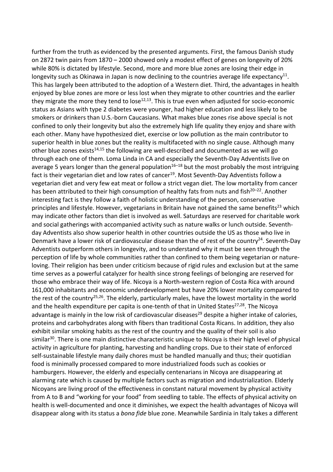further from the truth as evidenced by the presented arguments. First, the famous Danish study on 2872 twin pairs from 1870 – 2000 showed only a modest effect of genes on longevity of 20% while 80% is dictated by lifestyle. Second, more and more blue zones are losing their edge in longevity such as Okinawa in Japan is now declining to the countries average life expectancy<sup>11</sup>. This has largely been attributed to the adoption of a Western diet. Third, the advantages in health enjoyed by blue zones are more or less lost when they migrate to other countries and the earlier they migrate the more they tend to lose<sup>12,13</sup>. This is true even when adjusted for socio-economic status as Asians with type 2 diabetes were younger, had higher education and less likely to be smokers or drinkers than U.S.-born Caucasians. What makes blue zones rise above special is not confined to only their longevity but also the extremely high life quality they enjoy and share with each other. Many have hypothesized diet, exercise or low pollution as the main contributor to superior health in blue zones but the reality is multifaceted with no single cause. Although many other blue zones exists<sup>14,15</sup> the following are well-described and documented as we will go through each one of them. Loma Linda in CA and especially the Seventh-Day Adventists live on average 5 years longer than the general population<sup>16-18</sup> but the most probably the most intriguing fact is their vegetarian diet and low rates of cancer<sup>19</sup>. Most Seventh-Day Adventists follow a vegetarian diet and very few eat meat or follow a strict vegan diet. The low mortality from cancer has been attributed to their high consumption of healthy fats from nuts and fish<sup>20-22</sup>. Another interesting fact is they follow a faith of holistic understanding of the person, conservative principles and lifestyle. However, vegetarians in Britain have not gained the same benefits<sup>23</sup> which may indicate other factors than diet is involved as well. Saturdays are reserved for charitable work and social gatherings with accompanied activity such as nature walks or lunch outside. Seventhday Adventists also show superior health in other countries outside the US as those who live in Denmark have a lower risk of cardiovascular disease than the of rest of the country<sup>24</sup>. Seventh-Day Adventists outperform others in longevity, and to understand why it must be seen through the perception of life by whole communities rather than confined to them being vegetarian or natureloving. Their religion has been under criticism because of rigid rules and exclusion but at the same time serves as a powerful catalyzer for health since strong feelings of belonging are reserved for those who embrace their way of life. Nicoya is a North-western region of Costa Rica with around 161,000 inhabitants and economic underdevelopment but have 20% lower mortality compared to the rest of the country<sup>25,26</sup>. The elderly, particularly males, have the lowest mortality in the world and the health expenditure per capita is one-tenth of that in United States $27,28$ . The Nicoya advantage is mainly in the low risk of cardiovascular diseases<sup>29</sup> despite a higher intake of calories, proteins and carbohydrates along with fibers than traditional Costa Ricans. In addition, they also exhibit similar smoking habits as the rest of the country and the quality of their soil is also similar<sup>30</sup>. There is one main distinctive characteristic unique to Nicoya is their high level of physical activity in agriculture for planting, harvesting and handling crops. Due to their state of enforced self-sustainable lifestyle many daily chores must be handled manually and thus; their quotidian food is minimally processed compared to more industrialized foods such as cookies or hamburgers. However, the elderly and especially centenarians in Nicoya are disappearing at alarming rate which is caused by multiple factors such as migration and industrialization. Elderly Nicoyans are living proof of the effectiveness in constant natural movement by physical activity from A to B and "working for your food" from seedling to table. The effects of physical activity on health is well-documented and once it diminishes, we expect the health advantages of Nicoya will disappear along with its status a *bona fide* blue zone. Meanwhile Sardinia in Italy takes a different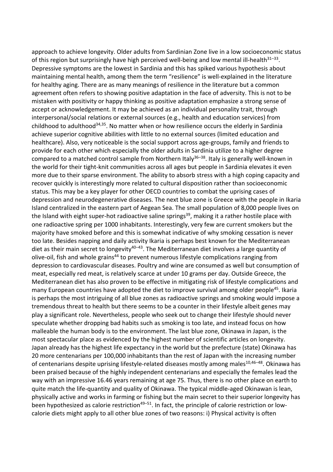approach to achieve longevity. Older adults from Sardinian Zone live in a low socioeconomic status of this region but surprisingly have high perceived well-being and low mental ill-health $31-33$ . Depressive symptoms are the lowest in Sardinia and this has spiked various hypothesis about maintaining mental health, among them the term "resilience" is well-explained in the literature for healthy aging. There are as many meanings of resilience in the literature but a common agreement often refers to showing positive adaptation in the face of adversity. This is not to be mistaken with positivity or happy thinking as positive adaptation emphasize a strong sense of accept or acknowledgement. It may be achieved as an individual personality trait, through interpersonal/social relations or external sources (e.g., health and education services) from childhood to adulthood<sup>34,35</sup>. No matter when or how resilience occurs the elderly in Sardinia achieve superior cognitive abilities with little to no external sources (limited education and healthcare). Also, very noticeable is the social support across age-groups, family and friends to provide for each other which especially the older adults in Sardinia utilize to a higher degree compared to a matched control sample from Northern Italy<sup>36–38</sup>. Italy is generally well-known in the world for their tight-knit communities across all ages but people in Sardinia elevates it even more due to their sparse environment. The ability to absorb stress with a high coping capacity and recover quickly is interestingly more related to cultural disposition rather than socioeconomic status. This may be a key player for other OECD countries to combat the uprising cases of depression and neurodegenerative diseases. The next blue zone is Greece with the people in Ikaria Island centralized in the eastern part of Aegean Sea. The small population of 8,000 people lives on the Island with eight super-hot radioactive saline springs<sup>39</sup>, making it a rather hostile place with one radioactive spring per 1000 inhabitants. Interestingly, very few are current smokers but the majority have smoked before and this is somewhat indicative of why smoking cessation is never too late. Besides napping and daily activity Ikaria is perhaps best known for the Mediterranean diet as their main secret to longevity $40-43$ . The Mediterranean diet involves a large quantity of olive-oil, fish and whole grains<sup>44</sup> to prevent numerous lifestyle complications ranging from depression to cardiovascular diseases. Poultry and wine are consumed as well but consumption of meat, especially red meat, is relatively scarce at under 10 grams per day. Outside Greece, the Mediterranean diet has also proven to be effective in mitigating risk of lifestyle complications and many European countries have adopted the diet to improve survival among older people<sup>45</sup>. Ikaria is perhaps the most intriguing of all blue zones as radioactive springs and smoking would impose a tremendous threat to health but there seems to be a counter in their lifestyle albeit genes may play a significant role. Nevertheless, people who seek out to change their lifestyle should never speculate whether dropping bad habits such as smoking is too late, and instead focus on how malleable the human body is to the environment. The last blue zone, Okinawa in Japan, is the most spectacular place as evidenced by the highest number of scientific articles on longevity. Japan already has the highest life expectancy in the world but the prefecture (state) Okinawa has 20 more centenarians per 100,000 inhabitants than the rest of Japan with the increasing number of centenarians despite uprising lifestyle-related diseases mostly among males<sup>10,46-48</sup>. Okinawa has been praised because of the highly independent centenarians and especially the females lead the way with an impressive 16.46 years remaining at age 75. Thus, there is no other place on earth to quite match the life-quantity and quality of Okinawa. The typical middle-aged Okinawan is lean, physically active and works in farming or fishing but the main secret to their superior longevity has been hypothesized as calorie restriction<sup>49–51</sup>. In fact, the principle of calorie restriction or lowcalorie diets might apply to all other blue zones of two reasons: i) Physical activity is often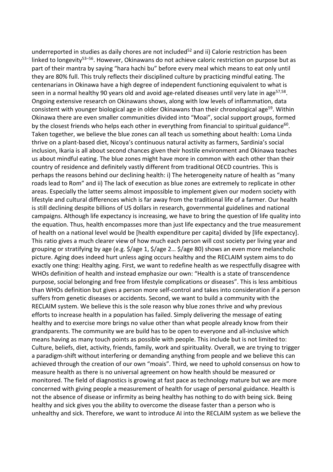underreported in studies as daily chores are not included<sup>52</sup> and ii) Calorie restriction has been linked to longevity<sup>53–56</sup>. However, Okinawans do not achieve caloric restriction on purpose but as part of their mantra by saying "hara hachi bu" before every meal which means to eat only until they are 80% full. This truly reflects their disciplined culture by practicing mindful eating. The centenarians in Okinawa have a high degree of independent functioning equivalent to what is seen in a normal healthy 90 years old and avoid age-related diseases until very late in age<sup>57,58</sup>. Ongoing extensive research on Okinawans shows, along with low levels of inflammation, data consistent with younger biological age in older Okinawans than their chronological age<sup>59</sup>. Within Okinawa there are even smaller communities divided into "Moai", social support groups, formed by the closest friends who helps each other in everything from financial to spiritual guidance<sup>60</sup>. Taken together, we believe the blue zones can all teach us something about health: Loma Linda thrive on a plant-based diet, Nicoya's continuous natural activity as farmers, Sardinia's social inclusion, Ikaria is all about second chances given their hostile environment and Okinawa teaches us about mindful eating. The blue zones might have more in common with each other than their country of residence and definitely vastly different from traditional OECD countries. This is perhaps the reasons behind our declining health: i) The heterogeneity nature of health as "many roads lead to Rom" and ii) The lack of execution as blue zones are extremely to replicate in other areas. Especially the latter seems almost impossible to implement given our modern society with lifestyle and cultural differences which is far away from the traditional life of a farmer. Our health is still declining despite billions of US dollars in research, governmental guidelines and national campaigns. Although life expectancy is increasing, we have to bring the question of life quality into the equation. Thus, health encompasses more than just life expectancy and the true measurement of health on a national level would be [health expenditure per capita] divided by [life expectancy]. This ratio gives a much clearer view of how much each person will cost society per living year and grouping or stratifying by age (e.g. \$/age 1, \$/age 2… \$/age 80) shows an even more melancholic picture. Aging does indeed hurt unless aging occurs healthy and the RECLAIM system aims to do exactly one thing: Healthy aging. First, we want to redefine health as we respectfully disagree with WHOs definition of health and instead emphasize our own: "Health is a state of transcendence purpose, social belonging and free from lifestyle complications or diseases". This is less ambitious than WHOs definition but gives a person more self-control and takes into consideration if a person suffers from genetic diseases or accidents. Second, we want to build a community with the RECLAIM system. We believe this is the sole reason why blue zones thrive and why previous efforts to increase health in a population has failed. Simply delivering the message of eating healthy and to exercise more brings no value other than what people already know from their grandparents. The community we are build has to be open to everyone and all-inclusive which means having as many touch points as possible with people. This include but is not limited to: Culture, beliefs, diet, activity, friends, family, work and spirituality. Overall, we are trying to trigger a paradigm-shift without interfering or demanding anything from people and we believe this can achieved through the creation of our own "moais". Third, we need to uphold consensus on how to measure health as there is no universal agreement on how health should be measured or monitored. The field of diagnostics is growing at fast pace as technology mature but we are more concerned with giving people a measurement of health for usage of personal guidance. Health is not the absence of disease or infirmity as being healthy has nothing to do with being sick. Being healthy and sick gives you the ability to overcome the disease faster than a person who is unhealthy and sick. Therefore, we want to introduce AI into the RECLAIM system as we believe the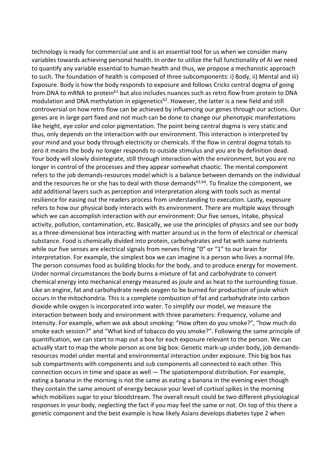technology is ready for commercial use and is an essential tool for us when we consider many variables towards achieving personal health. In order to utilize the full functionality of AI we need to quantify any variable essential to human health and thus, we propose a mechanistic approach to such. The foundation of health is composed of three subcomponents: i) Body, ii) Mental and iii) Exposure. Body is how the body responds to exposure and follows Cricks central dogma of going from DNA to mRNA to protein<sup>61</sup> but also includes nuances such as retro flow from protein to DNA modulation and DNA methylation in epigenetics<sup>62</sup>. However, the latter is a new field and still controversial on how retro flow can be achieved by influencing our genes through our actions. Our genes are in large part fixed and not much can be done to change our phenotypic manifestations like height, eye color and color pigmentation. The point being central dogma is very static and thus, only depends on the interaction with our environment. This interaction is interpreted by your mind and your body through electricity or chemicals. If the flow in central dogma totals to zero it means the body no longer responds to outside stimulus and you are by definition dead. Your body will slowly disintegrate, still through interaction with the environment, but you are no longer in control of the processes and they appear somewhat chaotic. The mental component refers to the job demands-resources model which is a balance between demands on the individual and the resources he or she has to deal with those demands<sup>63,64</sup>. To finalize the component, we add additional layers such as perception and interpretation along with tools such as mental resilience for easing out the readers process from understanding to execution. Lastly, exposure refers to how our physical body interacts with its environment. There are multiple ways through which we can accomplish interaction with our environment: Our five senses, intake, physical activity, pollution, contamination, etc. Basically, we use the principles of physics and see our body as a three-dimensional box interacting with matter around us in the form of electrical or chemical substance. Food is chemically divided into protein, carbohydrates and fat with some nutrients while our five senses are electrical signals from nerves firing "0" or "1" to our brain for interpretation. For example, the simplest box we can imagine is a person who lives a normal life. The person consumes food as building blocks for the body, and to produce energy for movement. Under normal circumstances the body burns a mixture of fat and carbohydrate to convert chemical energy into mechanical energy measured as joule and as heat to the surrounding tissue. Like an engine, fat and carbohydrate needs oxygen to be burned for production of joule which occurs in the mitochondria. This is a complete combustion of fat and carbohydrate into carbon dioxide while oxygen is incorporated into water. To simplify our model, we measure the interaction between body and environment with three parameters: Frequency, volume and intensity. For example, when we ask about smoking: "How often do you smoke?", "how much do smoke each session?" and "What kind of tobacco do you smoke?". Following the same principle of quantification, we can start to map out a box for each exposure relevant to the person. We can actually start to map the whole person as one big box: Genetic mark-up under body, job demandsresources model under mental and environmental interaction under exposure. This big box has sub compartments with components and sub components all connected to each other. This connection occurs in time and space as well — The spatiotemporal distribution. For example, eating a banana in the morning is not the same as eating a banana in the evening even though they contain the same amount of energy because your level of cortisol spikes in the morning which mobilizes sugar to your bloodstream. The overall result could be two different physiological responses in your body, neglecting the fact if you may feel the same or not. On top of this there a genetic component and the best example is how likely Asians develops diabetes type 2 when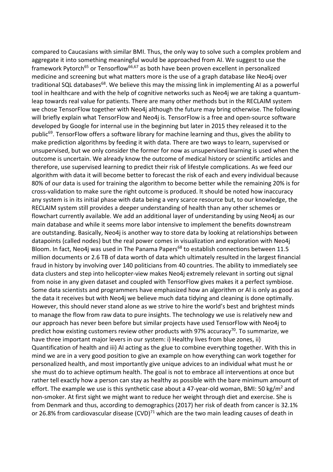compared to Caucasians with similar BMI. Thus, the only way to solve such a complex problem and aggregate it into something meaningful would be approached from AI. We suggest to use the framework Pytorch<sup>65</sup> or Tensorflow<sup>66,67</sup> as both have been proven excellent in personalized medicine and screening but what matters more is the use of a graph database like Neo4j over traditional SQL databases<sup>68</sup>. We believe this may the missing link in implementing AI as a powerful tool in healthcare and with the help of cognitive networks such as Neo4j we are taking a quantumleap towards real value for patients. There are many other methods but in the RECLAIM system we chose TensorFlow together with Neo4j although the future may bring otherwise. The following will briefly explain what TensorFlow and Neo4j is. TensorFlow is a free and open-source software developed by Google for internal use in the beginning but later in 2015 they released it to the public<sup>69</sup>. TensorFlow offers a software library for machine learning and thus, gives the ability to make prediction algorithms by feeding it with data. There are two ways to learn, supervised or unsupervised, but we only consider the former for now as unsupervised learning is used when the outcome is uncertain. We already know the outcome of medical history or scientific articles and therefore, use supervised learning to predict their risk of lifestyle complications. As we feed our algorithm with data it will become better to forecast the risk of each and every individual because 80% of our data is used for training the algorithm to become better while the remaining 20% is for cross-validation to make sure the right outcome is produced. It should be noted how inaccuracy any system is in its initial phase with data being a very scarce resource but, to our knowledge, the RECLAIM system still provides a deeper understanding of health than any other schemes or flowchart currently available. We add an additional layer of understanding by using Neo4j as our main database and while it seems more labor intensive to implement the benefits downstream are outstanding. Basically, Neo4j is another way to store data by looking at relationships between datapoints (called nodes) but the real power comes in visualization and exploration with Neo4j Bloom. In fact, Neo4j was used in The Panama Papers<sup>68</sup> to establish connections between 11.5 million documents or 2.6 TB of data worth of data which ultimately resulted in the largest financial fraud in history by involving over 140 politicians from 40 countries. The ability to immediately see data clusters and step into helicopter-view makes Neo4j extremely relevant in sorting out signal from noise in any given dataset and coupled with TensorFlow gives makes it a perfect symbiose. Some data scientists and programmers have emphasized how an algorithm or AI is only as good as the data it receives but with Neo4j we believe much data tidying and cleaning is done optimally. However, this should never stand alone as we strive to hire the world's best and brightest minds to manage the flow from raw data to pure insights. The technology we use is relatively new and our approach has never been before but similar projects have used TensorFlow with Neo4j to predict how existing customers review other products with 97% accuracy<sup>70</sup>. To summarize, we have three important major levers in our system: i) Healthy lives from blue zones, ii) Quantification of health and iii) AI acting as the glue to combine everything together. With this in mind we are in a very good position to give an example on how everything can work together for personalized health, and most importantly give unique advices to an individual what must he or she must do to achieve optimum health. The goal is not to embrace all interventions at once but rather tell exactly how a person can stay as healthy as possible with the bare minimum amount of effort. The example we use is this synthetic case about a 47-year-old woman, BMI: 50 kg/m<sup>2</sup> and non-smoker. At first sight we might want to reduce her weight through diet and exercise. She is from Denmark and thus, according to demographics (2017) her risk of death from cancer is 32.1% or 26.8% from cardiovascular disease  $(CVD)^{71}$  which are the two main leading causes of death in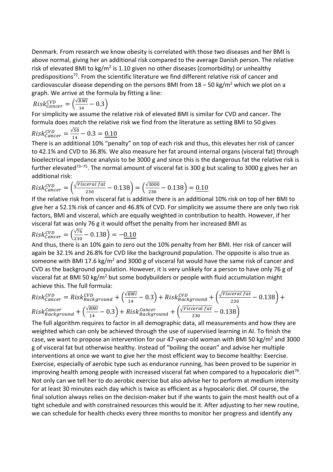Denmark. From research we know obesity is correlated with those two diseases and her BMI is above normal, giving her an additional risk compared to the average Danish person. The relative risk of elevated BMI to kg/m<sup>2</sup> is 1.10 given no other diseases (comorbidity) or unhealthy predispositions<sup>72</sup>. From the scientific literature we find different relative risk of cancer and cardiovascular disease depending on the persons BMI from  $18 - 50$  kg/m<sup>2</sup> which we plot on a graph. We arrive at the formula by fitting a line:

$$
Risk^{CVD}_{Cancer} = \left(\frac{\sqrt{BMI}}{14} - 0.3\right)
$$

For simplicity we assume the relative risk of elevated BMI is similar for CVD and cancer. The formula does match the relative risk we find from the literature as setting BMI to 50 gives

$$
Risk^{CVD}_{Cancer} = \frac{\sqrt{50}}{14} - 0.3 = \underline{0.10}
$$

There is an additional 10% "penalty" on top of each risk and thus, this elevates her risk of cancer to 42.1% and CVD to 36.8%. We also measure her fat around internal organs (visceral fat) through bioelectrical impedance analysis to be 3000 g and since this is the dangerous fat the relative risk is further elevated<sup>73-75</sup>. The normal amount of visceral fat is 300 g but scaling to 3000 g gives her an additional risk:

$$
Risk^{CVD}_{Cancer} = \left(\frac{\sqrt{Visceralfat}}{230} - 0.138\right) = \left(\frac{\sqrt{3000}}{230} - 0.138\right) = \frac{0.10}{0.10}
$$

If the relative risk from visceral fat is additive there is an additional 10% risk on top of her BMI to give her a 52.1% risk of cancer and 46.8% of CVD. For simplicity we assume there are only two risk factors, BMI and visceral, which are equally weighted in contribution to health. However, if her visceral fat was only 76 g it would offset the penalty from her increased BMI as

$$
Risk^{CVD}_{Cancer} = \left(\frac{\sqrt{76}}{230} - 0.138\right) = -0.10
$$

And thus, there is an 10% gain to zero out the 10% penalty from her BMI. Her risk of cancer will again be 32.1% and 26.8% for CVD like the background population. The opposite is also true as someone with BMI 17.6 kg/m<sup>2</sup> and 3000 g of visceral fat would have the same risk of cancer and CVD as the background population. However, it is very unlikely for a person to have only 76 g of visceral fat at BMI 50 kg/m<sup>2</sup> but some bodybuilders or people with fluid accumulation might achieve this. The full formula:

$$
Risk^{CVD}_{Cancer} = Risk^{CVD}_{Background} + \left(\frac{\sqrt{BMI}}{14} - 0.3\right) + Risk^{CVD}_{Background} + \left(\frac{\sqrt{Visceral fat}}{230} - 0.138\right) + Risk^{Cancer}_{Background} + \left(\frac{\sqrt{Visceral fat}}{230} - 0.138\right)
$$
  

$$
Risk^{Cancer}_{Background} + \left(\frac{\sqrt{BMI}}{14} - 0.3\right) + Risk^{Cancer}_{Background} + \left(\frac{\sqrt{Visceral fat}}{230} - 0.138\right)
$$

The full algorithm requires to factor in all demographic data, all measurements and how they are weighted which can only be achieved through the use of supervised learning in AI. To finish the case, we want to propose an intervention for our 47-year-old woman with BMI 50 kg/m<sup>2</sup> and 3000 g of visceral fat but otherwise healthy. Instead of "boiling the ocean" and advise her multiple interventions at once we want to give her the most efficient way to become healthy: Exercise. Exercise, especially of aerobic type such as endurance running, has been proved to be superior in improving health among people with increased visceral fat when compared to a hypocaloric diet<sup>76</sup>. Not only can we tell her to do aerobic exercise but also advise her to perform at medium intensity for at least 30 minutes each day which is twice as efficient as a hypocaloric diet. Of course, the final solution always relies on the decision-maker but if she wants to gain the most health out of a tight schedule and with constrained resources this would be it. After adjusting to her new routine, we can schedule for health checks every three months to monitor her progress and identify any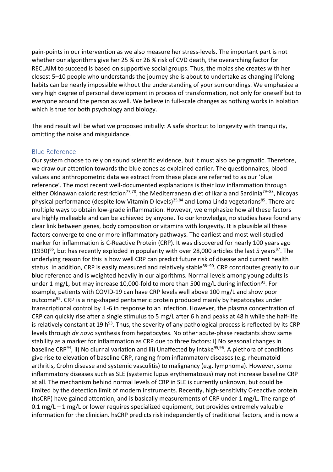pain-points in our intervention as we also measure her stress-levels. The important part is not whether our algorithms give her 25 % or 26 % risk of CVD death, the overarching factor for RECLAIM to succeed is based on supportive social groups. Thus, the moias she creates with her closest 5–10 people who understands the journey she is about to undertake as changing lifelong habits can be nearly impossible without the understanding of your surroundings. We emphasize a very high degree of personal development in process of transformation, not only for oneself but to everyone around the person as well. We believe in full-scale changes as nothing works in isolation which is true for both psychology and biology.

The end result will be what we proposed initially: A safe shortcut to longevity with tranquility, omitting the noise and misguidance.

## Blue Reference

Our system choose to rely on sound scientific evidence, but it must also be pragmatic. Therefore, we draw our attention towards the blue zones as explained earlier. The questionnaires, blood values and anthropometric data we extract from these place are referred to as our 'blue reference'. The most recent well-documented explanations is their low inflammation through either Okinawan caloric restriction<sup>77,78</sup>, the Mediterranean diet of Ikaria and Sardinia<sup>79–83</sup>, Nicoyas physical performance (despite low Vitamin D levels)<sup>25,84</sup> and Loma Linda vegetarians<sup>85</sup>. There are multiple ways to obtain low-grade inflammation. However, we emphasize how all these factors are highly malleable and can be achieved by anyone. To our knowledge, no studies have found any clear link between genes, body composition or vitamins with longevity. It is plausible all these factors converge to one or more inflammatory pathways. The earliest and most well-studied marker for inflammation is C-Reactive Protein (CRP). It was discovered for nearly 100 years ago (1930)<sup>86</sup>, but has recently exploded in popularity with over 28,000 articles the last 5 years<sup>87</sup>. The underlying reason for this is how well CRP can predict future risk of disease and current health status. In addition, CRP is easily measured and relatively stable<sup>88–90</sup>. CRP contributes greatly to our blue reference and is weighted heavily in our algorithms. Normal levels among young adults is under 1 mg/L, but may increase 10,000-fold to more than 500 mg/L during infection<sup>91</sup>. For example, patients with COVID-19 can have CRP levels well above 100 mg/L and show poor outcome<sup>92</sup>. CRP is a ring-shaped pentameric protein produced mainly by hepatocytes under transcriptional control by IL-6 in response to an infection. However, the plasma concentration of CRP can quickly rise after a single stimulus to 5 mg/L after 6 h and peaks at 48 h while the half-life is relatively constant at 19 h<sup>93</sup>. Thus, the severity of any pathological process is reflected by its CRP levels through *de novo* synthesis from hepatocytes. No other acute-phase reactants show same stability as a marker for inflammation as CRP due to three factors: i) No seasonal changes in baseline CRP<sup>94</sup>, ii) No diurnal variation and iii) Unaffected by intake<sup>95,96</sup>. A plethora of conditions give rise to elevation of baseline CRP, ranging from inflammatory diseases (e.g. rheumatoid arthritis, Crohn disease and systemic vasculitis) to malignancy (e.g. lymphoma). However, some inflammatory diseases such as SLE (systemic lupus erythematosus) may not increase baseline CRP at all. The mechanism behind normal levels of CRP in SLE is currently unknown, but could be limited by the detection limit of modern instruments. Recently, high-sensitivity C-reactive protein (hsCRP) have gained attention, and is basically measurements of CRP under 1 mg/L. The range of 0.1 mg/L – 1 mg/L or lower requires specialized equipment, but provides extremely valuable information for the clinician. hsCRP predicts risk independently of traditional factors, and is now a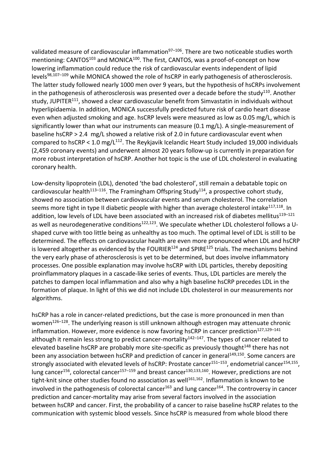validated measure of cardiovascular inflammation $97-106$ . There are two noticeable studies worth mentioning: CANTOS<sup>103</sup> and MONICA<sup>100</sup>. The first, CANTOS, was a proof-of-concept on how lowering inflammation could reduce the risk of cardiovascular events independent of lipid levels<sup>98,107–109</sup> while MONICA showed the role of hsCRP in early pathogenesis of atherosclerosis. The latter study followed nearly 1000 men over 9 years, but the hypothesis of hsCRPs involvement in the pathogenesis of atherosclerosis was presented over a decade before the study<sup>110</sup>. Another study, JUPITER<sup>111</sup>, showed a clear cardiovascular benefit from Simvastatin in individuals without hyperlipidaemia. In addition, MONICA successfully predicted future risk of cardio heart disease even when adjusted smoking and age. hsCRP levels were measured as low as 0.05 mg/L, which is significantly lower than what our instruments can measure (0.1 mg/L). A single-measurement of baseline hsCRP > 2.4 mg/L showed a relative risk of 2.0 in future cardiovascular event when compared to hsCRP < 1.0 mg/ $L^{112}$ . The Reykjavik Icelandic Heart Study included 19,000 individuals (2,459 coronary events) and underwent almost 20 years follow-up is currently in preparation for more robust interpretation of hsCRP. Another hot topic is the use of LDL cholesterol in evaluating coronary health.

Low-density lipoprotein (LDL), denoted 'the bad cholesterol', still remain a debatable topic on cardiovascular health<sup>113–116</sup>. The Framingham Offspring Study<sup>114</sup>, a prospective cohort study, showed no association between cardiovascular events and serum cholesterol. The correlation seems more tight in type II diabetic people with higher than average cholesterol intake<sup>117,118</sup>. In addition, low levels of LDL have been associated with an increased risk of diabetes mellitus<sup>119-121</sup> as well as neurodegenerative conditions<sup>122,123</sup>. We speculate whether LDL cholesterol follows a Ushaped curve with too little being as unhealthy as too much. The optimal level of LDL is still to be determined. The effects on cardiovascular health are even more pronounced when LDL and hsCRP is lowered altogether as evidenced by the FOURIER $124$  and SPIRE $125$  trials. The mechanisms behind the very early phase of atherosclerosis is yet to be determined, but does involve inflammatory processes. One possible explanation may involve hsCRP with LDL particles, thereby depositing proinflammatory plaques in a cascade-like series of events. Thus, LDL particles are merely the patches to dampen local inflammation and also why a high baseline hsCRP precedes LDL in the formation of plaque. In light of this we did not include LDL cholesterol in our measurements nor algorithms.

hsCRP has a role in cancer-related predictions, but the case is more pronounced in men than women $126-128$ . The underlying reason is still unknown although estrogen may attenuate chronic inflammation. However, more evidence is now favoring hsCRP in cancer prediction<sup>127,129-141</sup> although it remain less strong to predict cancer-mortality $142-147$ . The types of cancer related to elevated baseline hsCRP are probably more site-specific as previously thought<sup>148</sup> there has not been any association between hsCRP and prediction of cancer in general<sup>149,150</sup>. Some cancers are strongly associated with elevated levels of hsCRP: Prostate cancer $151-153$ , endometrial cancer $154,155$ , lung cancer<sup>156</sup>, colorectal cancer<sup>157–159</sup> and breast cancer<sup>130,133,160</sup>. However, predictions are not tight-knit since other studies found no association as well<sup>161,162</sup>. Inflammation is known to be involved in the pathogenesis of colorectal cancer<sup>163</sup> and lung cancer<sup>164</sup>. The controversy in cancer prediction and cancer-mortality may arise from several factors involved in the association between hsCRP and cancer. First, the probability of a cancer to raise baseline hsCRP relates to the communication with systemic blood vessels. Since hsCRP is measured from whole blood there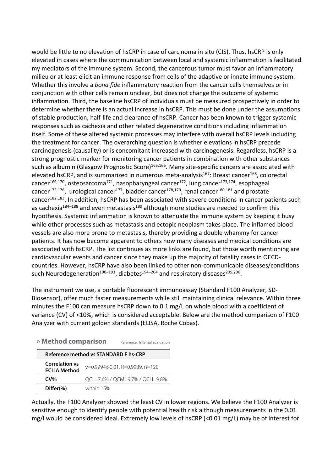would be little to no elevation of hsCRP in case of carcinoma in situ (CIS). Thus, hsCRP is only elevated in cases where the communication between local and systemic inflammation is facilitated **» Product Specification** my mediators of the immune system. Second, the cancerous tumor must favor an inflammatory nuitieu or at least elicit an immune response from cells of the adaptive or innate immune system. Whether this involve a *bona fide* inflammatory reaction from the cancer cells themselves or in conjunction with other cells remain unclear, but does not change the outcome of systemic inflammation. Third, the baseline hsCRP of individuals must be measured prospectively in order to determine whether there is an actual increase in hsCRP. This must be done under the assumptions **Testing time** 7 mins of stable production, half-life and clearance of hsCRP. Cancer has been known to trigger systemic responses such as cachexia and other related degenerative conditions including inflammation itself. Some of these altered systemic processes may interfere with overall hsCRP levels including the treatment for cancer. The overarching question is whether elevations in hsCRP precede carcinogenesis (causality) or is concomitant increased with carcinogenesis. Regardless, hsCRP is a **Reference method vs STANDARD F D-dimer FIA Product Pack Size CAT No.** strong prognostic marker for monitoring cancer patients in combination with other substances such as albumin (Glasgow Prognostic Score)<sup>165,166</sup>. Many site-specific cancers are associated with elevated hsCRP, and is summarized in numerous meta-analysis<sup>167</sup>: Breast cancer<sup>168</sup>, colorectal elevated nsCRP, and is summarized in numerous meta-analysis<sup>107</sup>: Breast cancer<sup>100</sup>, colorectal<br>cancer<sup>169,170</sup>, osteosarcoma<sup>171</sup>, nasopharyngeal cancer<sup>172</sup>, lung cancer<sup>173,174</sup>, esophageal cancer<sup>175,176</sup>, urological cancer<sup>177</sup>, bladder cancer<sup>178,179</sup>, renal cancer<sup>180,181</sup> and prostate cancer<sup>182,183</sup>. In addition, hsCRP has been associated with severe conditions in cancer patients such as cachexia<sup>184–188</sup> and even metastasis<sup>189</sup> although more studies are needed to confirm this hypothesis. Systemic inflammation is known to attenuate the immune system by keeping it busy while other processes such as metastasis and ectopic neoplasm takes place. The inflamed blood in the inflamed blood in the inflamed blood in the inflamed blood in the inflamed blood in the inflamed blood in the inflamed bl vessels are also more prone to metastasis, thereby providing a double wham patients. It has now become apparent to others how many diseases and medical conditions are  $\sim$ associated with hsCRP. The list continues as more links are found, but those worth mentioning and associated with hsuke. The list continues as more links are round, but those workness in OECD-<br>cardiovascular events and cancer since they make up the majority of fatality cases in OECDcountries. However, hsCRP have also been linked to other non-communicable diseases/conditions **» Product Specification** such Neurodegeneration<sup>190–193</sup>, diabetes<sup>194–204</sup> and respiratory diseases<sup>205,206</sup>. performed to health predict a health predict a health person of cardiovascular disease as part of cardiovascular disease as part of cardiovascular disease as part of cardiovascular disease as part of cardiovascular disease

The instrument we use, a portable fluorescent immunoassay (Standard F100 Analyzer, SD-**Measuring range** 0.1 – 15 mg/L Biosensor), offer much faster measurements while still maintaining clinical relevance. Within three **EXECTS FIGURE TO CAN MEAN TO SET THE STATE OF AVALUATE STATE OF THE REFERENCE FOR THE MINUTES WITH THE PROPERTY** variance (CV) of <10%, which is considered acceptable. Below are the method comparison of F100 Analyzer with current golden standards (ELISA, Roche Cobas).

| » Method comparison                          |            | Reference : Internal evaluation |
|----------------------------------------------|------------|---------------------------------|
| Reference method vs STANDARD F hs-CRP        |            |                                 |
| <b>Correlation vs</b><br><b>ECLIA Method</b> |            | y=0.9994x-0.01, R=0.9989, n=120 |
| $CV\%$                                       |            | QCL=7.6% / QCM=9.7% / QCH=9.8%  |
| $Differ(\% )$                                | within 15% |                                 |

**» Method comparison**

Actually, the F100 Analyzer showed the least CV in lower regions. We believe the F100 Analyzer is sensitive enough to identify people with potential health risk although measurements in the 0.01 mg/l would be considered ideal. Extremely low levels of hsCRP (<0.01 mg/L) may be of interest for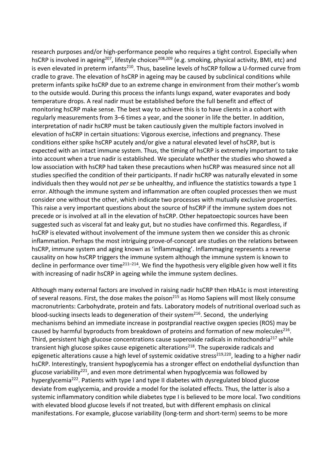research purposes and/or high-performance people who requires a tight control. Especially when hsCRP is involved in ageing<sup>207</sup>, lifestyle choices<sup>208,209</sup> (e.g. smoking, physical activity, BMI, etc) and is even elevated in preterm infants<sup>210</sup>. Thus, baseline levels of hsCRP follow a U-formed curve from cradle to grave. The elevation of hsCRP in ageing may be caused by subclinical conditions while preterm infants spike hsCRP due to an extreme change in environment from their mother's womb to the outside would. During this process the infants lungs expand, water evaporates and body temperature drops. A real nadir must be established before the full benefit and effect of monitoring hsCRP make sense. The best way to achieve this is to have clients in a cohort with regularly measurements from 3–6 times a year, and the sooner in life the better. In addition, interpretation of nadir hsCRP must be taken cautiously given the multiple factors involved in elevation of hsCRP in certain situations: Vigorous exercise, infections and pregnancy. These conditions either spike hsCRP acutely and/or give a natural elevated level of hsCRP, but is expected with an intact immune system. Thus, the timing of hsCRP is extremely important to take into account when a true nadir is established. We speculate whether the studies who showed a low association with hsCRP had taken these precautions when hsCRP was measured since not all studies specified the condition of their participants. If nadir hsCRP was naturally elevated in some individuals then they would not *per se* be unhealthy, and influence the statistics towards a type 1 error. Although the immune system and inflammation are often coupled processes then we must consider one without the other, which indicate two processes with mutually exclusive properties. This raise a very important questions about the source of hsCRP if the immune system does not precede or is involved at all in the elevation of hsCRP. Other hepatoectopic sources have been suggested such as visceral fat and leaky gut, but no studies have confirmed this. Regardless, if hsCRP is elevated without involvement of the immune system then we consider this as chronic inflammation. Perhaps the most intriguing prove-of-concept are studies on the relations between hsCRP, immune system and aging known as 'inflammaging'. Inflammaging represents a reverse causality on how hsCRP triggers the immune system although the immune system is known to decline in performance over time $^{211-214}$ . We find the hypothesis very eligible given how well it fits with increasing of nadir hsCRP in ageing while the immune system declines.

Although many external factors are involved in raising nadir hsCRP then HbA1c is most interesting of several reasons. First, the dose makes the poison<sup>215</sup> as Homo Sapiens will most likely consume macronutrients: Carbohydrate, protein and fats. Laboratory models of nutritional overload such as blood-sucking insects leads to degeneration of their system<sup>216</sup>. Second, the underlying mechanisms behind an immediate increase in postprandial reactive oxygen species (ROS) may be caused by harmful byproducts from breakdown of proteins and formation of new molecules<sup>216</sup>. Third, persistent high glucose concentrations cause superoxide radicals in mitochondria<sup>217</sup> while transient high glucose spikes cause epigenetic alterations<sup>218</sup>. The superoxide radicals and epigenetic alterations cause a high level of systemic oxidative stress<sup>219,220</sup>, leading to a higher nadir hsCRP. Interestingly, transient hypoglycemia has a stronger effect on endothelial dysfunction than glucose variability<sup>221</sup>, and even more detrimental when hypoglycemia was followed by hyperglycemia<sup>222</sup>. Patients with type I and type II diabetes with dysregulated blood glucose deviate from euglycemia, and provide a model for the isolated effects. Thus, the latter is also a systemic inflammatory condition while diabetes type I is believed to be more local. Two conditions with elevated blood glucose levels if not treated, but with different emphasis on clinical manifestations. For example, glucose variability (long-term and short-term) seems to be more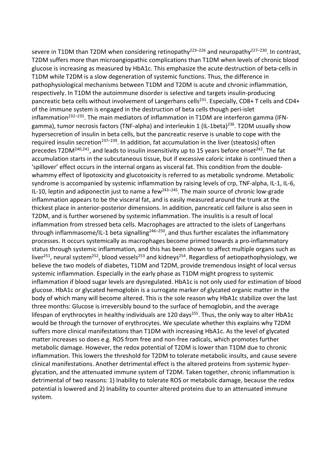severe in T1DM than T2DM when considering retinopathy<sup>223–226</sup> and neuropathy<sup>227–230</sup>. In contrast, T2DM suffers more than microangiopathic complications than T1DM when levels of chronic blood glucose is increasing as measured by HbA1c. This emphasize the acute destruction of beta-cells in T1DM while T2DM is a slow degeneration of systemic functions. Thus, the difference in pathophysiological mechanisms between T1DM and T2DM is acute and chronic inflammation, respectively. In T1DM the autoimmune disorder is selective and targets insulin-producing pancreatic beta cells without involvement of Langerhans cells<sup>231</sup>. Especially, CD8+ T cells and CD4+ of the immune system is engaged in the destruction of beta cells though peri-islet inflammation<sup>232-235</sup>. The main mediators of inflammation in T1DM are interferon gamma (IFNgamma), tumor necrosis factors (TNF-alpha) and interleukin 1 (IL-1beta)<sup>236</sup>. T2DM usually show hypersecretion of insulin in beta cells, but the pancreatic reserve is unable to cope with the required insulin secretion<sup>237-239</sup>. In addition, fat accumulation in the liver (steatosis) often precedes T2DM<sup>240,241</sup>, and leads to insulin insensitivity up to 15 years before onset<sup>242</sup>. The fat accumulation starts in the subcutaneous tissue, but if excessive caloric intake is continued then a 'spillover' effect occurs in the internal organs as visceral fat. This condition from the doublewhammy effect of lipotoxicity and glucotoxicity is referred to as metabolic syndrome. Metabolic syndrome is accompanied by systemic inflammation by raising levels of crp, TNF-alpha, IL-1, IL-6, IL-10, leptin and adiponectin just to name a few $^{243-245}$ . The main source of chronic low-grade inflammation appears to be the visceral fat, and is easily measured around the trunk at the thickest place in anterior-posterior dimensions. In addition, pancreatic cell failure is also seen in T2DM, and is further worsened by systemic inflammation. The insulitis is a result of local inflammation from stressed beta cells. Macrophages are attracted to the islets of Langerhans through inflammasome/IL-1 beta signalling<sup>246-250</sup>, and thus further escalates the inflammatory processes. It occurs systemically as macrophages become primed towards a pro-inflammatory status through systemic inflammation, and this has been shown to affect multiple organs such as liver<sup>251</sup>, neural system<sup>252</sup>, blood vessels<sup>253</sup> and kidneys<sup>254</sup>. Regardless of aetiopathophysiology, we believe the two models of diabetes, T1DM and T2DM, provide tremendous insight of local versus systemic inflammation. Especially in the early phase as T1DM might progress to systemic inflammation if blood sugar levels are dysregulated. HbA1c is not only used for estimation of blood glucose. HbA1c or glycated hemoglobin is a surrogate marker of glycated organic matter in the body of which many will become altered. This is the sole reason why HbA1c stabilize over the last three months: Glucose is irreversibly bound to the surface of hemoglobin, and the average lifespan of erythrocytes in healthy individuals are 120 days<sup>255</sup>. Thus, the only way to alter HbA1c would be through the turnover of erythrocytes. We speculate whether this explains why T2DM suffers more clinical manifestations than T1DM with increasing HbA1c. As the level of glycated matter increases so does e.g. ROS from free and non-free radicals, which promotes further metabolic damage. However, the redox potential of T2DM is lower than T1DM due to chronic inflammation. This lowers the threshold for T2DM to tolerate metabolic insults, and cause severe clinical manifestations. Another detrimental effect is the altered proteins from systemic hyperglycation, and the attenuated immune system of T2DM. Taken together, chronic inflammation is detrimental of two reasons: 1) Inability to tolerate ROS or metabolic damage, because the redox potential is lowered and 2) Inability to counter altered proteins due to an attenuated immune system.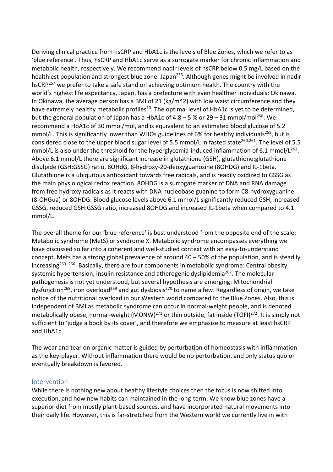Deriving clinical practice from hsCRP and HbA1c is the levels of Blue Zones, which we refer to as 'blue reference'. Thus, hsCRP and HbA1c serve as a surrogate marker for chronic inflammation and metabolic health, respectively. We recommend nadir levels of hsCRP below 0.5 mg/L based on the healthiest population and strongest blue zone: Japan<sup>256</sup>. Although genes might be involved in nadir hsCRP<sup>257</sup> we prefer to take a safe stand on achieving optimum health. The country with the world's highest life expectancy, Japan, has a prefecture with even healthier individuals: Okinawa. In Okinawa, the average person has a BMI of 21 (kg/m^2) with low waist circumference and they have extremely healthy metabolic profiles<sup>10</sup>. The optimal level of HbA1c is yet to be determined, but the general population of Japan has a HbA1c of  $4.8 - 5$  % or  $29 - 31$  mmol/mol<sup>258</sup>. We recommend a HbA1c of 30 mmol/mol, and is equivalent to an estimated blood glucose of 5.2 mmol/L. This is significantly lower than WHOs guidelines of 6% for healthy individuals<sup>259</sup>, but is considered close to the upper blood sugar level of 5.5 mmol/L in fasted state<sup>260,261</sup>. The level of 5.5 mmol/L is also under the threshold for the hyperglycemia-induced inflammation of 6.1 mmol/L<sup>262</sup>. Above 6.1 mmol/L there are significant increase in glutathione (GSH), glutathione:glutathione disulpide (GSH:GSSG) ratio, 8OHdG, 8-hydroxy-20-deoxyguanosine (8OHDG) and IL-1beta. Glutathione is a ubiquitous antioxidant towards free radicals, and is readily oxidized to GSSG as the main physiological redox reaction. 8OHDG is a surrogate marker of DNA and RNA damage from free hydroxy radicals as it reacts with DNA nucleobase guanine to form C8-hydroxyguanine (8-OHGua) or 8OHDG. Blood glucose levels above 6.1 mmol/L significantly reduced GSH, increased GSSG, reduced GSH:GSSG ratio, increased 8OHDG and increased IL-1beta when compared to 4.1 mmol/L.

The overall theme for our 'blue reference' is best understood from the opposite end of the scale: Metabolic syndrome (MetS) or syndrome X. Metabolic syndrome encompasses everything we have discussed so far into a coherent and well-studied context with an easy-to-understand concept. Mets has a strong global prevalence of around 40 – 50% of the population, and is steadily increasing<sup>263–266</sup>. Basically, there are four components in metabolic syndrome: Central obesity, systemic hypertension, insulin resistance and atherogenic dyslipidemia<sup>267</sup>. The molecular pathogenesis is not yet understood, but several hypothesis are emerging: Mitochondrial dysfunction<sup>268</sup>, iron overload<sup>269</sup> and gut dysbiosis<sup>270</sup> to name a few. Regardless of origin, we take notice of the nutritional overload in our Western world compared to the Blue Zones. Also, this is independent of BMI as metabolic syndrome can occur in normal-weight people, and is denoted metabolically obese, normal-weight (MONW)<sup>271</sup> or thin outside, fat inside (TOFI)<sup>272</sup>. It is simply not sufficient to 'judge a book by its cover', and therefore we emphasize to measure at least hsCRP and HbA1c.

The wear and tear on organic matter is guided by perturbation of homeostasis with inflammation as the key-player. Without inflammation there would be no perturbation, and only status quo or eventually breakdown is favored.

### Intervention

While there is nothing new about healthy lifestyle choices then the focus is now shifted into execution, and how new habits can maintained in the long-term. We know blue zones have a superior diet from mostly plant-based sources, and have incorporated natural movements into their daily life. However, this is far-stretched from the Western world we currently live in with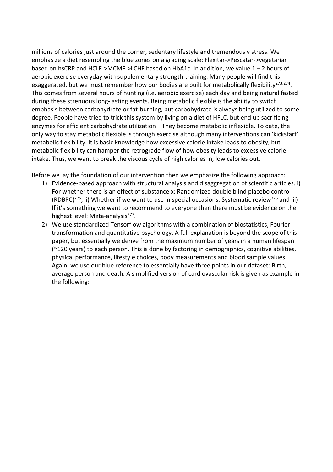millions of calories just around the corner, sedentary lifestyle and tremendously stress. We emphasize a diet resembling the blue zones on a grading scale: Flexitar->Pescatar->vegetarian based on hsCRP and HCLF->MCMF->LCHF based on HbA1c. In addition, we value 1 – 2 hours of aerobic exercise everyday with supplementary strength-training. Many people will find this exaggerated, but we must remember how our bodies are built for metabolically flexibility<sup>273,274</sup>. This comes from several hours of hunting (i.e. aerobic exercise) each day and being natural fasted during these strenuous long-lasting events. Being metabolic flexible is the ability to switch emphasis between carbohydrate or fat-burning, but carbohydrate is always being utilized to some degree. People have tried to trick this system by living on a diet of HFLC, but end up sacrificing enzymes for efficient carbohydrate utilization—They become metabolic inflexible. To date, the only way to stay metabolic flexible is through exercise although many interventions can 'kickstart' metabolic flexibility. It is basic knowledge how excessive calorie intake leads to obesity, but metabolic flexibility can hamper the retrograde flow of how obesity leads to excessive calorie intake. Thus, we want to break the viscous cycle of high calories in, low calories out.

Before we lay the foundation of our intervention then we emphasize the following approach:

- 1) Evidence-based approach with structural analysis and disaggregation of scientific articles. i) For whether there is an effect of substance x: Randomized double blind placebo control (RDBPC)<sup>275</sup>, ii) Whether if we want to use in special occasions: Systematic review<sup>276</sup> and iii) If it's something we want to recommend to everyone then there must be evidence on the highest level: Meta-analysis<sup>277</sup>.
- 2) We use standardized Tensorflow algorithms with a combination of biostatistics, Fourier transformation and quantitative psychology. A full explanation is beyond the scope of this paper, but essentially we derive from the maximum number of years in a human lifespan (~120 years) to each person. This is done by factoring in demographics, cognitive abilities, physical performance, lifestyle choices, body measurements and blood sample values. Again, we use our blue reference to essentially have three points in our dataset: Birth, average person and death. A simplified version of cardiovascular risk is given as example in the following: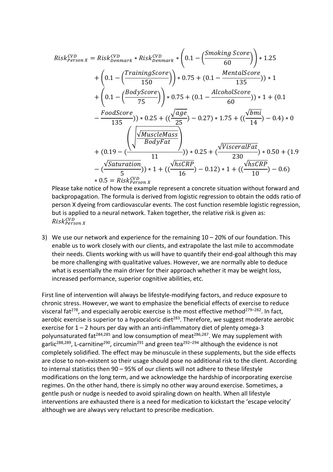$$
Risk_{Person X}^{CVD} = Risk_{Denmark}^{CVD} * Risk_{Denmark}^{CVD} * (0.1 - \left(\frac{Smoking Score}{60}\right)) * 1.25
$$
  
+  $\left(0.1 - \left(\frac{TrainingScore}{150}\right)\right) * 0.75 + (0.1 - \frac{MentalScore}{135}) * 1$   
+  $\left(0.1 - \left(\frac{BodyScore}{75}\right)\right) * 0.75 + (0.1 - \frac{AlcoholScore}{60}) * 1 + (0.1 - \frac{FoodScore}{135}) * 1$   
-  $\frac{FoodScore}{135}) * 0.25 + ((\frac{\sqrt{age}}{25}) - 0.27) * 1.75 + ((\frac{\sqrt{bmi}}{14}) - 0.4) * 0$   
+  $(0.19 - (\frac{\sqrt{MuscleMass}}{BodyFat})) * 0.25 + (\frac{\sqrt{VisceralFat}}{230}) * 0.50 + (1.9 - (\frac{\sqrt{Saturation}}{5})) * 1 + ((\frac{\sqrt{hscRP}}{16}) - 0.12) * 1 + ((\frac{\sqrt{hscRP}}{10}) - 0.6)$   
+ 0.5 = Risk<sup>CVD</sup><sub>Person X</sub>

Please take notice of how the example represent a concrete situation without forward and backpropagation. The formula is derived from logistic regression to obtain the odds ratio of person X dyeing from cardiovascular events. The cost function resemble logistic regression, but is applied to a neural network. Taken together, the relative risk is given as: Risk <sup>CVD</sup>erson X

3) We use our network and experience for the remaining 10 – 20% of our foundation. This enable us to work closely with our clients, and extrapolate the last mile to accommodate their needs. Clients working with us will have to quantify their end-goal although this may be more challenging with qualitative values. However, we are normally able to deduce what is essentially the main driver for their approach whether it may be weight loss, increased performance, superior cognitive abilities, etc.

First line of intervention will always be lifestyle-modifying factors, and reduce exposure to chronic stress. However, we want to emphasize the beneficial effects of exercise to reduce visceral fat<sup>278</sup>, and especially aerobic exercise is the most effective method<sup>279–282</sup>. In fact, aerobic exercise is superior to a hypocaloric diet<sup>283</sup>. Therefore, we suggest moderate aerobic exercise for  $1 - 2$  hours per day with an anti-inflammatory diet of plenty omega-3 polyunsaturated fat<sup>284,285</sup> and low consumption of meat<sup>286,287</sup>. We may supplement with garlic<sup>288,289</sup>, L-carnitine<sup>290</sup>, circumin<sup>291</sup> and green tea<sup>292-294</sup> although the evidence is not completely solidified. The effect may be minuscule in these supplements, but the side effects are close to non-existent so their usage should pose no additional risk to the client. According to internal statistics then 90 – 95% of our clients will not adhere to these lifestyle modifications on the long term, and we acknowledge the hardship of incorporating exercise regimes. On the other hand, there is simply no other way around exercise. Sometimes, a gentle push or nudge is needed to avoid spiraling down on health. When all lifestyle interventions are exhausted there is a need for medication to kickstart the 'escape velocity' although we are always very reluctant to prescribe medication.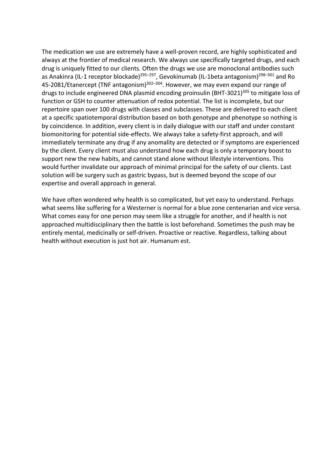The medication we use are extremely have a well-proven record, are highly sophisticated and always at the frontier of medical research. We always use specifically targeted drugs, and each drug is uniquely fitted to our clients. Often the drugs we use are monoclonal antibodies such as Anakinra (IL-1 receptor blockade)<sup>295–297</sup>, Gevokinumab (IL-1beta antagonism)<sup>298–301</sup> and Ro 45-2081/Etanercept (TNF antagonism)<sup>302-304</sup>. However, we may even expand our range of drugs to include engineered DNA plasmid encoding proinsulin (BHT-3021)<sup>305</sup> to mitigate loss of function or GSH to counter attenuation of redox potential. The list is incomplete, but our repertoire span over 100 drugs with classes and subclasses. These are delivered to each client at a specific spatiotemporal distribution based on both genotype and phenotype so nothing is by coincidence. In addition, every client is in daily dialogue with our staff and under constant biomonitoring for potential side-effects. We always take a safety-first approach, and will immediately terminate any drug if any anomality are detected or if symptoms are experienced by the client. Every client must also understand how each drug is only a temporary boost to support new the new habits, and cannot stand alone without lifestyle interventions. This would further invalidate our approach of minimal principal for the safety of our clients. Last solution will be surgery such as gastric bypass, but is deemed beyond the scope of our expertise and overall approach in general.

We have often wondered why health is so complicated, but yet easy to understand. Perhaps what seems like suffering for a Westerner is normal for a blue zone centenarian and vice versa. What comes easy for one person may seem like a struggle for another, and if health is not approached multidisciplinary then the battle is lost beforehand. Sometimes the push may be entirely mental, medicinally or self-driven. Proactive or reactive. Regardless, talking about health without execution is just hot air. Humanum est.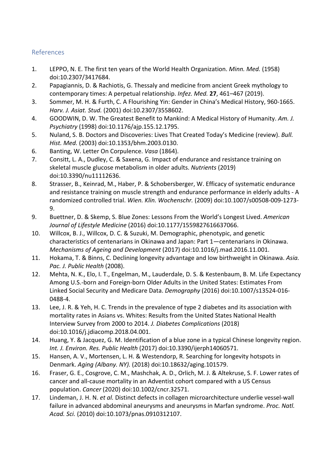## References

- 1. LEPPO, N. E. The first ten years of the World Health Organization. *Minn. Med.* (1958) doi:10.2307/3417684.
- 2. Papagiannis, D. & Rachiotis, G. Thessaly and medicine from ancient Greek mythology to contemporary times: A perpetual relationship. *Infez. Med.* **27**, 461–467 (2019).
- 3. Sommer, M. H. & Furth, C. A Flourishing Yin: Gender in China's Medical History, 960-1665. *Harv. J. Asiat. Stud.* (2001) doi:10.2307/3558602.
- 4. GOODWIN, D. W. The Greatest Benefit to Mankind: A Medical History of Humanity. *Am. J. Psychiatry* (1998) doi:10.1176/ajp.155.12.1795.
- 5. Nuland, S. B. Doctors and Discoveries: Lives That Created Today's Medicine (review). *Bull. Hist. Med.* (2003) doi:10.1353/bhm.2003.0130.
- 6. Banting, W. Letter On Corpulence. *Vasa* (1864).
- 7. Consitt, L. A., Dudley, C. & Saxena, G. Impact of endurance and resistance training on skeletal muscle glucose metabolism in older adults. *Nutrients* (2019) doi:10.3390/nu11112636.
- 8. Strasser, B., Keinrad, M., Haber, P. & Schobersberger, W. Efficacy of systematic endurance and resistance training on muscle strength and endurance performance in elderly adults - A randomized controlled trial. *Wien. Klin. Wochenschr.* (2009) doi:10.1007/s00508-009-1273- 9.
- 9. Buettner, D. & Skemp, S. Blue Zones: Lessons From the World's Longest Lived. *American Journal of Lifestyle Medicine* (2016) doi:10.1177/1559827616637066.
- 10. Willcox, B. J., Willcox, D. C. & Suzuki, M. Demographic, phenotypic, and genetic characteristics of centenarians in Okinawa and Japan: Part 1—centenarians in Okinawa. *Mechanisms of Ageing and Development* (2017) doi:10.1016/j.mad.2016.11.001.
- 11. Hokama, T. & Binns, C. Declining longevity advantage and low birthweight in Okinawa. *Asia. Pac. J. Public Health* (2008).
- 12. Mehta, N. K., Elo, I. T., Engelman, M., Lauderdale, D. S. & Kestenbaum, B. M. Life Expectancy Among U.S.-born and Foreign-born Older Adults in the United States: Estimates From Linked Social Security and Medicare Data. *Demography* (2016) doi:10.1007/s13524-016- 0488-4.
- 13. Lee, J. R. & Yeh, H. C. Trends in the prevalence of type 2 diabetes and its association with mortality rates in Asians vs. Whites: Results from the United States National Health Interview Survey from 2000 to 2014. *J. Diabetes Complications* (2018) doi:10.1016/j.jdiacomp.2018.04.001.
- 14. Huang, Y. & Jacquez, G. M. Identification of a blue zone in a typical Chinese longevity region. *Int. J. Environ. Res. Public Health* (2017) doi:10.3390/ijerph14060571.
- 15. Hansen, A. V., Mortensen, L. H. & Westendorp, R. Searching for longevity hotspots in Denmark. *Aging (Albany. NY).* (2018) doi:10.18632/aging.101579.
- 16. Fraser, G. E., Cosgrove, C. M., Mashchak, A. D., Orlich, M. J. & Altekruse, S. F. Lower rates of cancer and all-cause mortality in an Adventist cohort compared with a US Census population. *Cancer* (2020) doi:10.1002/cncr.32571.
- 17. Lindeman, J. H. N. *et al.* Distinct defects in collagen microarchitecture underlie vessel-wall failure in advanced abdominal aneurysms and aneurysms in Marfan syndrome. *Proc. Natl. Acad. Sci.* (2010) doi:10.1073/pnas.0910312107.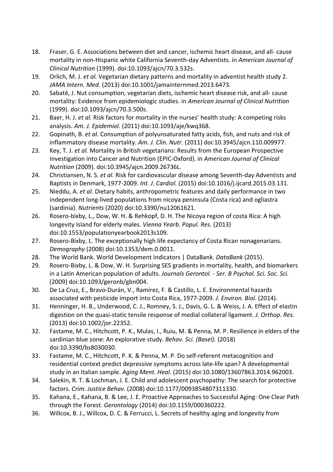- 18. Fraser, G. E. Associations between diet and cancer, ischemic heart disease, and all- cause mortality in non-Hispanic white California Seventh-day Adventists. in *American Journal of Clinical Nutrition* (1999). doi:10.1093/ajcn/70.3.532s.
- 19. Orlich, M. J. *et al.* Vegetarian dietary patterns and mortality in adventist health study 2. *JAMA Intern. Med.* (2013) doi:10.1001/jamainternmed.2013.6473.
- 20. Sabaté, J. Nut consumption, vegetarian diets, ischemic heart disease risk, and all- cause mortality: Evidence from epidemiologic studies. in *American Journal of Clinical Nutrition* (1999). doi:10.1093/ajcn/70.3.500s.
- 21. Baer, H. J. *et al.* Risk factors for mortality in the nurses' health study: A competing risks analysis. *Am. J. Epidemiol.* (2011) doi:10.1093/aje/kwq368.
- 22. Gopinath, B. *et al.* Consumption of polyunsaturated fatty acids, fish, and nuts and risk of inflammatory disease mortality. *Am. J. Clin. Nutr.* (2011) doi:10.3945/ajcn.110.009977.
- 23. Key, T. J. *et al.* Mortality in British vegetarians: Results from the European Prospective Investigation into Cancer and Nutrition (EPIC-Oxford). in *American Journal of Clinical Nutrition* (2009). doi:10.3945/ajcn.2009.26736L.
- 24. Christiansen, N. S. *et al.* Risk for cardiovascular disease among Seventh-day Adventists and Baptists in Denmark, 1977-2009. *Int. J. Cardiol.* (2015) doi:10.1016/j.ijcard.2015.03.131.
- 25. Nieddu, A. *et al.* Dietary habits, anthropometric features and daily performance in two independent long-lived populations from nicoya peninsula (Costa rica) and ogliastra (sardinia). *Nutrients* (2020) doi:10.3390/nu12061621.
- 26. Rosero-bixby, L., Dow, W. H. & Rehkopf, D. H. The Nicoya region of costa Rica: A high longevity Island for elderly males. *Vienna Yearb. Popul. Res.* (2013) doi:10.1553/populationyearbook2013s109.
- 27. Rosero-Bixby, L. The exceptionally high life expectancy of Costa Rican nonagenarians. *Demography* (2008) doi:10.1353/dem.0.0011.
- 28. The World Bank. World Development Indicators | DataBank. *DataBank* (2015).
- 29. Rosero-Bixby, L. & Dow, W. H. Surprising SES gradients in mortality, health, and biomarkers in a Latin American population of adults. *Journals Gerontol. - Ser. B Psychol. Sci. Soc. Sci.* (2009) doi:10.1093/geronb/gbn004.
- 30. De La Cruz, E., Bravo-Durán, V., Ramírez, F. & Castillo, L. E. Environmental hazards associated with pesticide import into Costa Rica, 1977-2009. *J. Environ. Biol.* (2014).
- 31. Henninger, H. B., Underwood, C. J., Romney, S. J., Davis, G. L. & Weiss, J. A. Effect of elastin digestion on the quasi-static tensile response of medial collateral ligament. *J. Orthop. Res.* (2013) doi:10.1002/jor.22352.
- 32. Fastame, M. C., Hitchcott, P. K., Mulas, I., Ruiu, M. & Penna, M. P. Resilience in elders of the sardinian blue zone: An explorative study. *Behav. Sci. (Basel).* (2018) doi:10.3390/bs8030030.
- 33. Fastame, M. C., Hitchcott, P. K. & Penna, M. P. Do self-referent metacognition and residential context predict depressive symptoms across late-life span? A developmental study in an Italian sample. *Aging Ment. Heal.* (2015) doi:10.1080/13607863.2014.962003.
- 34. Salekin, R. T. & Lochman, J. E. Child and adolescent psychopathy: The search for protective factors. *Crim. Justice Behav.* (2008) doi:10.1177/0093854807311330.
- 35. Kahana, E., Kahana, B. & Lee, J. E. Proactive Approaches to Successful Aging: One Clear Path through the Forest. *Gerontology* (2014) doi:10.1159/000360222.
- 36. Willcox, B. J., Willcox, D. C. & Ferrucci, L. Secrets of healthy aging and longevity from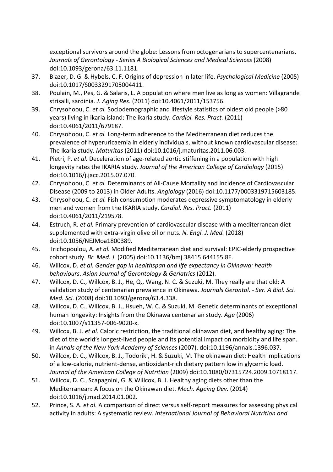exceptional survivors around the globe: Lessons from octogenarians to supercentenarians. *Journals of Gerontology - Series A Biological Sciences and Medical Sciences* (2008) doi:10.1093/gerona/63.11.1181.

- 37. Blazer, D. G. & Hybels, C. F. Origins of depression in later life. *Psychological Medicine* (2005) doi:10.1017/S0033291705004411.
- 38. Poulain, M., Pes, G. & Salaris, L. A population where men live as long as women: Villagrande strisaili, sardinia. *J. Aging Res.* (2011) doi:10.4061/2011/153756.
- 39. Chrysohoou, C. *et al.* Sociodemographic and lifestyle statistics of oldest old people (>80 years) living in ikaria island: The ikaria study. *Cardiol. Res. Pract.* (2011) doi:10.4061/2011/679187.
- 40. Chrysohoou, C. *et al.* Long-term adherence to the Mediterranean diet reduces the prevalence of hyperuricaemia in elderly individuals, without known cardiovascular disease: The Ikaria study. *Maturitas* (2011) doi:10.1016/j.maturitas.2011.06.003.
- 41. Pietri, P. *et al.* Deceleration of age-related aortic stiffening in a population with high longevity rates the IKARIA study. *Journal of the American College of Cardiology* (2015) doi:10.1016/j.jacc.2015.07.070.
- 42. Chrysohoou, C. *et al.* Determinants of All-Cause Mortality and Incidence of Cardiovascular Disease (2009 to 2013) in Older Adults. *Angiology* (2016) doi:10.1177/0003319715603185.
- 43. Chrysohoou, C. *et al.* Fish consumption moderates depressive symptomatology in elderly men and women from the IKARIA study. *Cardiol. Res. Pract.* (2011) doi:10.4061/2011/219578.
- 44. Estruch, R. *et al.* Primary prevention of cardiovascular disease with a mediterranean diet supplemented with extra-virgin olive oil or nuts. *N. Engl. J. Med.* (2018) doi:10.1056/NEJMoa1800389.
- 45. Trichopoulou, A. *et al.* Modified Mediterranean diet and survival: EPIC-elderly prospective cohort study. *Br. Med. J.* (2005) doi:10.1136/bmj.38415.644155.8F.
- 46. Willcox, D. *et al. Gender gap in healthspan and life expectancy in Okinawa: health behaviours*. *Asian Journal of Gerontology & Geriatrics* (2012).
- 47. Willcox, D. C., Willcox, B. J., He, Q., Wang, N. C. & Suzuki, M. They really are that old: A validation study of centenarian prevalence in Okinawa. *Journals Gerontol. - Ser. A Biol. Sci. Med. Sci.* (2008) doi:10.1093/gerona/63.4.338.
- 48. Willcox, D. C., Willcox, B. J., Hsueh, W. C. & Suzuki, M. Genetic determinants of exceptional human longevity: Insights from the Okinawa centenarian study. *Age* (2006) doi:10.1007/s11357-006-9020-x.
- 49. Willcox, B. J. *et al.* Caloric restriction, the traditional okinawan diet, and healthy aging: The diet of the world's longest-lived people and its potential impact on morbidity and life span. in *Annals of the New York Academy of Sciences* (2007). doi:10.1196/annals.1396.037.
- 50. Willcox, D. C., Willcox, B. J., Todoriki, H. & Suzuki, M. The okinawan diet: Health implications of a low-calorie, nutrient-dense, antioxidant-rich dietary pattern low in glycemic load. *Journal of the American College of Nutrition* (2009) doi:10.1080/07315724.2009.10718117.
- 51. Willcox, D. C., Scapagnini, G. & Willcox, B. J. Healthy aging diets other than the Mediterranean: A focus on the Okinawan diet. *Mech. Ageing Dev.* (2014) doi:10.1016/j.mad.2014.01.002.
- 52. Prince, S. A. *et al.* A comparison of direct versus self-report measures for assessing physical activity in adults: A systematic review. *International Journal of Behavioral Nutrition and*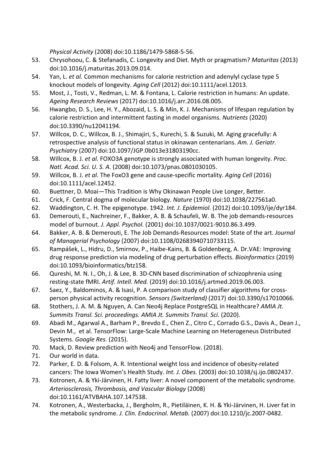*Physical Activity* (2008) doi:10.1186/1479-5868-5-56.

- 53. Chrysohoou, C. & Stefanadis, C. Longevity and Diet. Myth or pragmatism? *Maturitas* (2013) doi:10.1016/j.maturitas.2013.09.014.
- 54. Yan, L. *et al.* Common mechanisms for calorie restriction and adenylyl cyclase type 5 knockout models of longevity. *Aging Cell* (2012) doi:10.1111/acel.12013.
- 55. Most, J., Tosti, V., Redman, L. M. & Fontana, L. Calorie restriction in humans: An update. *Ageing Research Reviews* (2017) doi:10.1016/j.arr.2016.08.005.
- 56. Hwangbo, D. S., Lee, H. Y., Abozaid, L. S. & Min, K. J. Mechanisms of lifespan regulation by calorie restriction and intermittent fasting in model organisms. *Nutrients* (2020) doi:10.3390/nu12041194.
- 57. Willcox, D. C., Willcox, B. J., Shimajiri, S., Kurechi, S. & Suzuki, M. Aging gracefully: A retrospective analysis of functional status in okinawan centenarians. *Am. J. Geriatr. Psychiatry* (2007) doi:10.1097/JGP.0b013e31803190cc.
- 58. Willcox, B. J. *et al.* FOXO3A genotype is strongly associated with human longevity. *Proc. Natl. Acad. Sci. U. S. A.* (2008) doi:10.1073/pnas.0801030105.
- 59. Willcox, B. J. *et al.* The FoxO3 gene and cause-specific mortality. *Aging Cell* (2016) doi:10.1111/acel.12452.
- 60. Buettner, D. Moai—This Tradition is Why Okinawan People Live Longer, Better.
- 61. Crick, F. Central dogma of molecular biology. *Nature* (1970) doi:10.1038/227561a0.
- 62. Waddington, C. H. The epigenotype. 1942. *Int. J. Epidemiol.* (2012) doi:10.1093/ije/dyr184.
- 63. Demerouti, E., Nachreiner, F., Bakker, A. B. & Schaufeli, W. B. The job demands-resources model of burnout. *J. Appl. Psychol.* (2001) doi:10.1037/0021-9010.86.3.499.
- 64. Bakker, A. B. & Demerouti, E. The Job Demands-Resources model: State of the art. *Journal of Managerial Psychology* (2007) doi:10.1108/02683940710733115.
- 65. Rampášek, L., Hidru, D., Smirnov, P., Haibe-Kains, B. & Goldenberg, A. Dr.VAE: Improving drug response prediction via modeling of drug perturbation effects. *Bioinformatics* (2019) doi:10.1093/bioinformatics/btz158.
- 66. Qureshi, M. N. I., Oh, J. & Lee, B. 3D-CNN based discrimination of schizophrenia using resting-state fMRI. *Artif. Intell. Med.* (2019) doi:10.1016/j.artmed.2019.06.003.
- 67. Saez, Y., Baldominos, A. & Isasi, P. A comparison study of classifier algorithms for crossperson physical activity recognition. *Sensors (Switzerland)* (2017) doi:10.3390/s17010066.
- 68. Stothers, J. A. M. & Nguyen, A. Can Neo4j Replace PostgreSQL in Healthcare? *AMIA Jt. Summits Transl. Sci. proceedings. AMIA Jt. Summits Transl. Sci.* (2020).
- 69. Abadi M., Agarwal A., Barham P., Brevdo E., Chen Z., Citro C., Corrado G.S., Davis A., Dean J., Devin M., et al. TensorFlow: Large-Scale Machine Learning on Heterogeneus Distributed Systems. *Google Res.* (2015).
- 70. Mack, D. Review prediction with Neo4j and TensorFlow. (2018).
- 71. Our world in data.
- 72. Parker, E. D. & Folsom, A. R. Intentional weight loss and incidence of obesity-related cancers: The Iowa Women's Health Study. *Int. J. Obes.* (2003) doi:10.1038/sj.ijo.0802437.
- 73. Kotronen, A. & Yki-Järvinen, H. Fatty liver: A novel component of the metabolic syndrome. *Arteriosclerosis, Thrombosis, and Vascular Biology* (2008) doi:10.1161/ATVBAHA.107.147538.
- 74. Kotronen, A., Westerbacka, J., Bergholm, R., Pietiläinen, K. H. & Yki-Järvinen, H. Liver fat in the metabolic syndrome. *J. Clin. Endocrinol. Metab.* (2007) doi:10.1210/jc.2007-0482.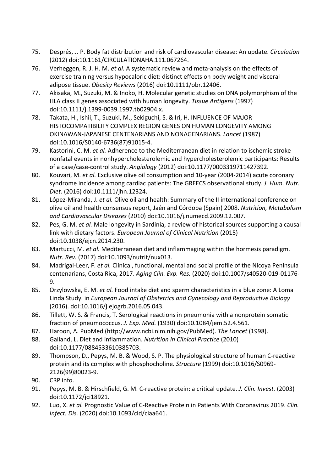- 75. Després, J. P. Body fat distribution and risk of cardiovascular disease: An update. *Circulation* (2012) doi:10.1161/CIRCULATIONAHA.111.067264.
- 76. Verheggen, R. J. H. M. *et al.* A systematic review and meta-analysis on the effects of exercise training versus hypocaloric diet: distinct effects on body weight and visceral adipose tissue. *Obesity Reviews* (2016) doi:10.1111/obr.12406.
- 77. Akisaka, M., Suzuki, M. & Inoko, H. Molecular genetic studies on DNA polymorphism of the HLA class II genes associated with human longevity. *Tissue Antigens* (1997) doi:10.1111/j.1399-0039.1997.tb02904.x.
- 78. Takata, H., Ishii, T., Suzuki, M., Sekiguchi, S. & Iri, H. INFLUENCE OF MAJOR HISTOCOMPATIBILITY COMPLEX REGION GENES ON HUMAN LONGEVITY AMONG OKINAWAN-JAPANESE CENTENARIANS AND NONAGENARIANS. *Lancet* (1987) doi:10.1016/S0140-6736(87)91015-4.
- 79. Kastorini, C. M. *et al.* Adherence to the Mediterranean diet in relation to ischemic stroke nonfatal events in nonhypercholesterolemic and hypercholesterolemic participants: Results of a case/case-control study. *Angiology* (2012) doi:10.1177/0003319711427392.
- 80. Kouvari, M. *et al.* Exclusive olive oil consumption and 10-year (2004-2014) acute coronary syndrome incidence among cardiac patients: The GREECS observational study. *J. Hum. Nutr. Diet.* (2016) doi:10.1111/jhn.12324.
- 81. López-Miranda, J. *et al.* Olive oil and health: Summary of the II international conference on olive oil and health consensus report, Jaén and Córdoba (Spain) 2008. *Nutrition, Metabolism and Cardiovascular Diseases* (2010) doi:10.1016/j.numecd.2009.12.007.
- 82. Pes, G. M. *et al.* Male longevity in Sardinia, a review of historical sources supporting a causal link with dietary factors. *European Journal of Clinical Nutrition* (2015) doi:10.1038/ejcn.2014.230.
- 83. Martucci, M. *et al.* Mediterranean diet and inflammaging within the hormesis paradigm. *Nutr. Rev.* (2017) doi:10.1093/nutrit/nux013.
- 84. Madrigal-Leer, F. *et al.* Clinical, functional, mental and social profile of the Nicoya Peninsula centenarians, Costa Rica, 2017. *Aging Clin. Exp. Res.* (2020) doi:10.1007/s40520-019-01176- 9.
- 85. Orzylowska, E. M. *et al.* Food intake diet and sperm characteristics in a blue zone: A Loma Linda Study. in *European Journal of Obstetrics and Gynecology and Reproductive Biology* (2016). doi:10.1016/j.ejogrb.2016.05.043.
- 86. Tillett, W. S. & Francis, T. Serological reactions in pneumonia with a nonprotein somatic fraction of pneumococcus. *J. Exp. Med.* (1930) doi:10.1084/jem.52.4.561.
- 87. Haroon, A. PubMed (http://www.ncbi.nlm.nih.gov/PubMed). *The Lancet* (1998).
- 88. Galland, L. Diet and inflammation. *Nutrition in Clinical Practice* (2010) doi:10.1177/0884533610385703.
- 89. Thompson, D., Pepys, M. B. & Wood, S. P. The physiological structure of human C-reactive protein and its complex with phosphocholine. *Structure* (1999) doi:10.1016/S0969- 2126(99)80023-9.
- 90. CRP info.
- 91. Pepys, M. B. & Hirschfield, G. M. C-reactive protein: a critical update. *J. Clin. Invest.* (2003) doi:10.1172/jci18921.
- 92. Luo, X. *et al.* Prognostic Value of C-Reactive Protein in Patients With Coronavirus 2019. *Clin. Infect. Dis.* (2020) doi:10.1093/cid/ciaa641.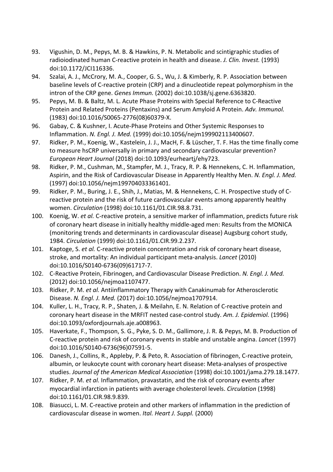- 93. Vigushin, D. M., Pepys, M. B. & Hawkins, P. N. Metabolic and scintigraphic studies of radioiodinated human C-reactive protein in health and disease. *J. Clin. Invest.* (1993) doi:10.1172/JCI116336.
- 94. Szalai, A. J., McCrory, M. A., Cooper, G. S., Wu, J. & Kimberly, R. P. Association between baseline levels of C-reactive protein (CRP) and a dinucleotide repeat polymorphism in the intron of the CRP gene. *Genes Immun.* (2002) doi:10.1038/sj.gene.6363820.
- 95. Pepys, M. B. & Baltz, M. L. Acute Phase Proteins with Special Reference to C-Reactive Protein and Related Proteins (Pentaxins) and Serum Amyloid A Protein. *Adv. Immunol.* (1983) doi:10.1016/S0065-2776(08)60379-X.
- 96. Gabay, C. & Kushner, I. Acute-Phase Proteins and Other Systemic Responses to Inflammation. *N. Engl. J. Med.* (1999) doi:10.1056/nejm199902113400607.
- 97. Ridker, P. M., Koenig, W., Kastelein, J. J., MacH, F. & Lüscher, T. F. Has the time finally come to measure hsCRP universally in primary and secondary cardiovascular prevention? *European Heart Journal* (2018) doi:10.1093/eurheartj/ehy723.
- 98. Ridker, P. M., Cushman, M., Stampfer, M. J., Tracy, R. P. & Hennekens, C. H. Inflammation, Aspirin, and the Risk of Cardiovascular Disease in Apparently Healthy Men. *N. Engl. J. Med.* (1997) doi:10.1056/nejm199704033361401.
- 99. Ridker, P. M., Buring, J. E., Shih, J., Matias, M. & Hennekens, C. H. Prospective study of Creactive protein and the risk of future cardiovascular events among apparently healthy women. *Circulation* (1998) doi:10.1161/01.CIR.98.8.731.
- 100. Koenig, W. *et al.* C-reactive protein, a sensitive marker of inflammation, predicts future risk of coronary heart disease in initially healthy middle-aged men: Results from the MONICA (monitoring trends and determinants in cardiovascular disease) Augsburg cohort study, 1984. *Circulation* (1999) doi:10.1161/01.CIR.99.2.237.
- 101. Kaptoge, S. *et al.* C-reactive protein concentration and risk of coronary heart disease, stroke, and mortality: An individual participant meta-analysis. *Lancet* (2010) doi:10.1016/S0140-6736(09)61717-7.
- 102. C-Reactive Protein, Fibrinogen, and Cardiovascular Disease Prediction. *N. Engl. J. Med.* (2012) doi:10.1056/nejmoa1107477.
- 103. Ridker, P. M. *et al.* Antiinflammatory Therapy with Canakinumab for Atherosclerotic Disease. *N. Engl. J. Med.* (2017) doi:10.1056/nejmoa1707914.
- 104. Kuller, L. H., Tracy, R. P., Shaten, J. & Meilahn, E. N. Relation of C-reactive protein and coronary heart disease in the MRFIT nested case-control study. *Am. J. Epidemiol.* (1996) doi:10.1093/oxfordjournals.aje.a008963.
- 105. Haverkate, F., Thompson, S. G., Pyke, S. D. M., Gallimore, J. R. & Pepys, M. B. Production of C-reactive protein and risk of coronary events in stable and unstable angina. *Lancet* (1997) doi:10.1016/S0140-6736(96)07591-5.
- 106. Danesh, J., Collins, R., Appleby, P. & Peto, R. Association of fibrinogen, C-reactive protein, albumin, or leukocyte count with coronary heart disease: Meta-analyses of prospective studies. *Journal of the American Medical Association* (1998) doi:10.1001/jama.279.18.1477.
- 107. Ridker, P. M. *et al.* Inflammation, pravastatin, and the risk of coronary events after myocardial infarction in patients with average cholesterol levels. *Circulation* (1998) doi:10.1161/01.CIR.98.9.839.
- 108. Biasucci, L. M. C-reactive protein and other markers of inflammation in the prediction of cardiovascular disease in women. *Ital. Heart J. Suppl.* (2000)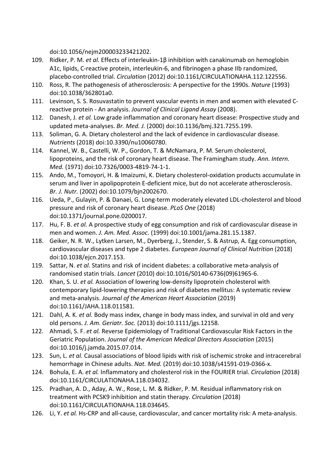doi:10.1056/nejm200003233421202.

- 109. Ridker, P. M. *et al.* Effects of interleukin-1β inhibition with canakinumab on hemoglobin A1c, lipids, C-reactive protein, interleukin-6, and fibrinogen a phase IIb randomized, placebo-controlled trial. *Circulation* (2012) doi:10.1161/CIRCULATIONAHA.112.122556.
- 110. Ross, R. The pathogenesis of atherosclerosis: A perspective for the 1990s. *Nature* (1993) doi:10.1038/362801a0.
- 111. Levinson, S. S. Rosuvastatin to prevent vascular events in men and women with elevated Creactive protein - An analysis. *Journal of Clinical Ligand Assay* (2008).
- 112. Danesh, J. *et al.* Low grade inflammation and coronary heart disease: Prospective study and updated meta-analyses. *Br. Med. J.* (2000) doi:10.1136/bmj.321.7255.199.
- 113. Soliman, G. A. Dietary cholesterol and the lack of evidence in cardiovascular disease. *Nutrients* (2018) doi:10.3390/nu10060780.
- 114. Kannel, W. B., Castelli, W. P., Gordon, T. & McNamara, P. M. Serum cholesterol, lipoproteins, and the risk of coronary heart disease. The Framingham study. *Ann. Intern. Med.* (1971) doi:10.7326/0003-4819-74-1-1.
- 115. Ando, M., Tomoyori, H. & Imaizumi, K. Dietary cholesterol-oxidation products accumulate in serum and liver in apolipoprotein E-deficient mice, but do not accelerate atherosclerosis. *Br. J. Nutr.* (2002) doi:10.1079/bjn2002670.
- 116. Ueda, P., Gulayin, P. & Danaei, G. Long-term moderately elevated LDL-cholesterol and blood pressure and risk of coronary heart disease. *PLoS One* (2018) doi:10.1371/journal.pone.0200017.
- 117. Hu, F. B. *et al.* A prospective study of egg consumption and risk of cardiovascular disease in men and women. *J. Am. Med. Assoc.* (1999) doi:10.1001/jama.281.15.1387.
- 118. Geiker, N. R. W., Lytken Larsen, M., Dyerberg, J., Stender, S. & Astrup, A. Egg consumption, cardiovascular diseases and type 2 diabetes. *European Journal of Clinical Nutrition* (2018) doi:10.1038/ejcn.2017.153.
- 119. Sattar, N. *et al.* Statins and risk of incident diabetes: a collaborative meta-analysis of randomised statin trials. *Lancet* (2010) doi:10.1016/S0140-6736(09)61965-6.
- 120. Khan, S. U. *et al.* Association of lowering low-density lipoprotein cholesterol with contemporary lipid-lowering therapies and risk of diabetes mellitus: A systematic review and meta-analysis. *Journal of the American Heart Association* (2019) doi:10.1161/JAHA.118.011581.
- 121. Dahl, A. K. *et al.* Body mass index, change in body mass index, and survival in old and very old persons. *J. Am. Geriatr. Soc.* (2013) doi:10.1111/jgs.12158.
- 122. Ahmadi, S. F. *et al.* Reverse Epidemiology of Traditional Cardiovascular Risk Factors in the Geriatric Population. *Journal of the American Medical Directors Association* (2015) doi:10.1016/j.jamda.2015.07.014.
- 123. Sun, L. *et al.* Causal associations of blood lipids with risk of ischemic stroke and intracerebral hemorrhage in Chinese adults. *Nat. Med.* (2019) doi:10.1038/s41591-019-0366-x.
- 124. Bohula, E. A. *et al.* Inflammatory and cholesterol risk in the FOURIER trial. *Circulation* (2018) doi:10.1161/CIRCULATIONAHA.118.034032.
- 125. Pradhan, A. D., Aday, A. W., Rose, L. M. & Ridker, P. M. Residual inflammatory risk on treatment with PCSK9 inhibition and statin therapy. *Circulation* (2018) doi:10.1161/CIRCULATIONAHA.118.034645.
- 126. Li, Y. *et al.* Hs-CRP and all-cause, cardiovascular, and cancer mortality risk: A meta-analysis.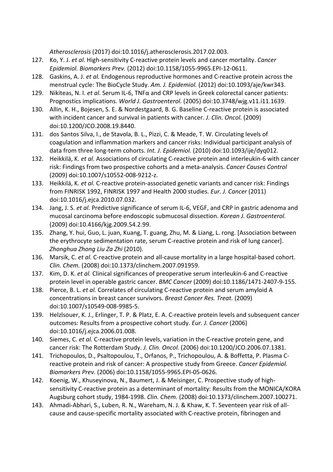*Atherosclerosis* (2017) doi:10.1016/j.atherosclerosis.2017.02.003.

- 127. Ko, Y. J. *et al.* High-sensitivity C-reactive protein levels and cancer mortality. *Cancer Epidemiol. Biomarkers Prev.* (2012) doi:10.1158/1055-9965.EPI-12-0611.
- 128. Gaskins, A. J. *et al.* Endogenous reproductive hormones and C-reactive protein across the menstrual cycle: The BioCycle Study. *Am. J. Epidemiol.* (2012) doi:10.1093/aje/kwr343.
- 129. Nikiteas, N. I. *et al.* Serum IL-6, TNFα and CRP levels in Greek colorectal cancer patients: Prognostics implications. *World J. Gastroenterol.* (2005) doi:10.3748/wjg.v11.i11.1639.
- 130. Allin, K. H., Bojesen, S. E. & Nordestgaard, B. G. Baseline C-reactive protein is associated with incident cancer and survival in patients with cancer. *J. Clin. Oncol.* (2009) doi:10.1200/JCO.2008.19.8440.
- 131. dos Santos Silva, I., de Stavola, B. L., Pizzi, C. & Meade, T. W. Circulating levels of coagulation and inflammation markers and cancer risks: Individual participant analysis of data from three long-term cohorts. *Int. J. Epidemiol.* (2010) doi:10.1093/ije/dyq012.
- 132. Heikkilä, K. *et al.* Associations of circulating C-reactive protein and interleukin-6 with cancer risk: Findings from two prospective cohorts and a meta-analysis. *Cancer Causes Control* (2009) doi:10.1007/s10552-008-9212-z.
- 133. Heikkilä, K. *et al.* C-reactive protein-associated genetic variants and cancer risk: Findings from FINRISK 1992, FINRISK 1997 and Health 2000 studies. *Eur. J. Cancer* (2011) doi:10.1016/j.ejca.2010.07.032.
- 134. Jang, J. S. *et al.* Predictive significance of serum IL-6, VEGF, and CRP in gastric adenoma and mucosal carcinoma before endoscopic submucosal dissection. *Korean J. Gastroenterol.* (2009) doi:10.4166/kjg.2009.54.2.99.
- 135. Zhang, Y. hui, Guo, L. juan, Kuang, T. guang, Zhu, M. & Liang, L. rong. [Association between the erythrocyte sedimentation rate, serum C-reactive protein and risk of lung cancer]. *Zhonghua Zhong Liu Za Zhi* (2010).
- 136. Marsik, C. *et al.* C-reactive protein and all-cause mortality in a large hospital-based cohort. *Clin. Chem.* (2008) doi:10.1373/clinchem.2007.091959.
- 137. Kim, D. K. *et al.* Clinical significances of preoperative serum interleukin-6 and C-reactive protein level in operable gastric cancer. *BMC Cancer* (2009) doi:10.1186/1471-2407-9-155.
- 138. Pierce, B. L. *et al.* Correlates of circulating C-reactive protein and serum amyloid A concentrations in breast cancer survivors. *Breast Cancer Res. Treat.* (2009) doi:10.1007/s10549-008-9985-5.
- 139. Helzlsouer, K. J., Erlinger, T. P. & Platz, E. A. C-reactive protein levels and subsequent cancer outcomes: Results from a prospective cohort study. *Eur. J. Cancer* (2006) doi:10.1016/j.ejca.2006.01.008.
- 140. Siemes, C. *et al.* C-reactive protein levels, variation in the C-reactive protein gene, and cancer risk: The Rotterdam Study. *J. Clin. Oncol.* (2006) doi:10.1200/JCO.2006.07.1381.
- 141. Trichopoulos, D., Psaltopoulou, T., Orfanos, P., Trichopoulou, A. & Boffetta, P. Plasma Creactive protein and risk of cancer: A prospective study from Greece. *Cancer Epidemiol. Biomarkers Prev.* (2006) doi:10.1158/1055-9965.EPI-05-0626.
- 142. Koenig, W., Khuseyinova, N., Baumert, J. & Meisinger, C. Prospective study of highsensitivity C-reactive protein as a determinant of mortality: Results from the MONICA/KORA Augsburg cohort study, 1984-1998. *Clin. Chem.* (2008) doi:10.1373/clinchem.2007.100271.
- 143. Ahmadi-Abhari, S., Luben, R. N., Wareham, N. J. & Khaw, K. T. Seventeen year risk of allcause and cause-specific mortality associated with C-reactive protein, fibrinogen and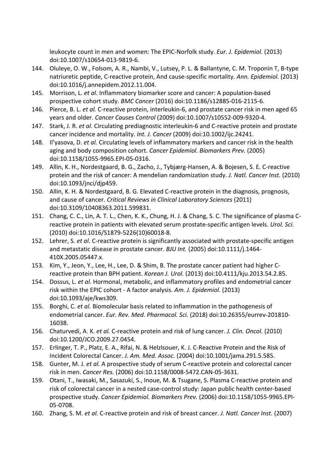leukocyte count in men and women: The EPIC-Norfolk study. *Eur. J. Epidemiol.* (2013) doi:10.1007/s10654-013-9819-6.

- 144. Oluleye, O. W., Folsom, A. R., Nambi, V., Lutsey, P. L. & Ballantyne, C. M. Troponin T, B-type natriuretic peptide, C-reactive protein, And cause-specific mortality. *Ann. Epidemiol.* (2013) doi:10.1016/j.annepidem.2012.11.004.
- 145. Morrison, L. *et al.* Inflammatory biomarker score and cancer: A population-based prospective cohort study. *BMC Cancer* (2016) doi:10.1186/s12885-016-2115-6.
- 146. Pierce, B. L. *et al.* C-reactive protein, interleukin-6, and prostate cancer risk in men aged 65 years and older. *Cancer Causes Control* (2009) doi:10.1007/s10552-009-9320-4.
- 147. Stark, J. R. *et al.* Circulating prediagnostic interleukin-6 and C-reactive protein and prostate cancer incidence and mortality. *Int. J. Cancer* (2009) doi:10.1002/ijc.24241.
- 148. Il'yasova, D. *et al.* Circulating levels of inflammatory markers and cancer risk in the health aging and body composition cohort. *Cancer Epidemiol. Biomarkers Prev.* (2005) doi:10.1158/1055-9965.EPI-05-0316.
- 149. Allin, K. H., Nordestgaard, B. G., Zacho, J., Tybjærg-Hansen, A. & Bojesen, S. E. C-reactive protein and the risk of cancer: A mendelian randomization study. *J. Natl. Cancer Inst.* (2010) doi:10.1093/jnci/djp459.
- 150. Allin, K. H. & Nordestgaard, B. G. Elevated C-reactive protein in the diagnosis, prognosis, and cause of cancer. *Critical Reviews in Clinical Laboratory Sciences* (2011) doi:10.3109/10408363.2011.599831.
- 151. Chang, C. C., Lin, A. T. L., Chen, K. K., Chung, H. J. & Chang, S. C. The significance of plasma Creactive protein in patients with elevated serum prostate-specific antigen levels. *Urol. Sci.* (2010) doi:10.1016/S1879-5226(10)60018-8.
- 152. Lehrer, S. *et al.* C-reactive protein is significantly associated with prostate-specific antigen and metastatic disease in prostate cancer. *BJU Int.* (2005) doi:10.1111/j.1464- 410X.2005.05447.x.
- 153. Kim, Y., Jeon, Y., Lee, H., Lee, D. & Shim, B. The prostate cancer patient had higher Creactive protein than BPH patient. *Korean J. Urol.* (2013) doi:10.4111/kju.2013.54.2.85.
- 154. Dossus, L. *et al.* Hormonal, metabolic, and inflammatory profiles and endometrial cancer risk within the EPIC cohort - A factor analysis. *Am. J. Epidemiol.* (2013) doi:10.1093/aje/kws309.
- 155. Borghi, C. *et al.* Biomolecular basis related to inflammation in the pathogenesis of endometrial cancer. *Eur. Rev. Med. Pharmacol. Sci.* (2018) doi:10.26355/eurrev-201810- 16038.
- 156. Chaturvedi, A. K. *et al.* C-reactive protein and risk of lung cancer. *J. Clin. Oncol.* (2010) doi:10.1200/JCO.2009.27.0454.
- 157. Erlinger, T. P., Platz, E. A., Rifai, N. & Helzlsouer, K. J. C-Reactive Protein and the Risk of Incident Colorectal Cancer. *J. Am. Med. Assoc.* (2004) doi:10.1001/jama.291.5.585.
- 158. Gunter, M. J. *et al.* A prospective study of serum C-reactive protein and colorectal cancer risk in men. *Cancer Res.* (2006) doi:10.1158/0008-5472.CAN-05-3631.
- 159. Otani, T., Iwasaki, M., Sasazuki, S., Inoue, M. & Tsugane, S. Plasma C-reactive protein and risk of colorectal cancer in a nested case-control study: Japan public health center-based prospective study. *Cancer Epidemiol. Biomarkers Prev.* (2006) doi:10.1158/1055-9965.EPI-05-0708.
- 160. Zhang, S. M. *et al.* C-reactive protein and risk of breast cancer. *J. Natl. Cancer Inst.* (2007)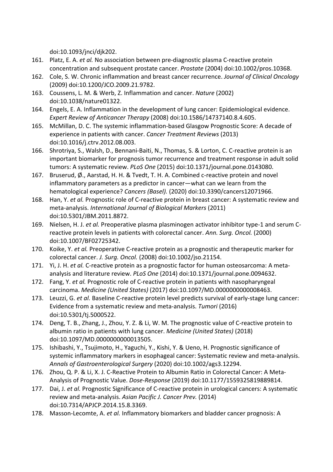doi:10.1093/jnci/djk202.

- 161. Platz, E. A. *et al.* No association between pre-diagnostic plasma C-reactive protein concentration and subsequent prostate cancer. *Prostate* (2004) doi:10.1002/pros.10368.
- 162. Cole, S. W. Chronic inflammation and breast cancer recurrence. *Journal of Clinical Oncology* (2009) doi:10.1200/JCO.2009.21.9782.
- 163. Coussens, L. M. & Werb, Z. Inflammation and cancer. *Nature* (2002) doi:10.1038/nature01322.
- 164. Engels, E. A. Inflammation in the development of lung cancer: Epidemiological evidence. *Expert Review of Anticancer Therapy* (2008) doi:10.1586/14737140.8.4.605.
- 165. McMillan, D. C. The systemic inflammation-based Glasgow Prognostic Score: A decade of experience in patients with cancer. *Cancer Treatment Reviews* (2013) doi:10.1016/j.ctrv.2012.08.003.
- 166. Shrotriya, S., Walsh, D., Bennani-Baiti, N., Thomas, S. & Lorton, C. C-reactive protein is an important biomarker for prognosis tumor recurrence and treatment response in adult solid tumors: A systematic review. *PLoS One* (2015) doi:10.1371/journal.pone.0143080.
- 167. Bruserud, Ø., Aarstad, H. H. & Tvedt, T. H. A. Combined c-reactive protein and novel inflammatory parameters as a predictor in cancer—what can we learn from the hematological experience? *Cancers (Basel).* (2020) doi:10.3390/cancers12071966.
- 168. Han, Y. *et al.* Prognostic role of C-reactive protein in breast cancer: A systematic review and meta-analysis. *International Journal of Biological Markers* (2011) doi:10.5301/JBM.2011.8872.
- 169. Nielsen, H. J. *et al.* Preoperative plasma plasminogen activator inhibitor type-1 and serum Creactive protein levels in patients with colorectal cancer. *Ann. Surg. Oncol.* (2000) doi:10.1007/BF02725342.
- 170. Koike, Y. *et al.* Preoperative C-reactive protein as a prognostic and therapeutic marker for colorectal cancer. *J. Surg. Oncol.* (2008) doi:10.1002/jso.21154.
- 171. Yi, J. H. *et al.* C-reactive protein as a prognostic factor for human osteosarcoma: A metaanalysis and literature review. *PLoS One* (2014) doi:10.1371/journal.pone.0094632.
- 172. Fang, Y. *et al.* Prognostic role of C-reactive protein in patients with nasopharyngeal carcinoma. *Medicine (United States)* (2017) doi:10.1097/MD.0000000000008463.
- 173. Leuzzi, G. *et al.* Baseline C-reactive protein level predicts survival of early-stage lung cancer: Evidence from a systematic review and meta-analysis. *Tumori* (2016) doi:10.5301/tj.5000522.
- 174. Deng, T. B., Zhang, J., Zhou, Y. Z. & Li, W. M. The prognostic value of C-reactive protein to albumin ratio in patients with lung cancer. *Medicine (United States)* (2018) doi:10.1097/MD.0000000000013505.
- 175. Ishibashi, Y., Tsujimoto, H., Yaguchi, Y., Kishi, Y. & Ueno, H. Prognostic significance of systemic inflammatory markers in esophageal cancer: Systematic review and meta-analysis. *Annals of Gastroenterological Surgery* (2020) doi:10.1002/ags3.12294.
- 176. Zhou, Q. P. & Li, X. J. C-Reactive Protein to Albumin Ratio in Colorectal Cancer: A Meta-Analysis of Prognostic Value. *Dose-Response* (2019) doi:10.1177/1559325819889814.
- 177. Dai, J. *et al.* Prognostic Significance of C-reactive protein in urological cancers: A systematic review and meta-analysis. *Asian Pacific J. Cancer Prev.* (2014) doi:10.7314/APJCP.2014.15.8.3369.
- 178. Masson-Lecomte, A. *et al.* Inflammatory biomarkers and bladder cancer prognosis: A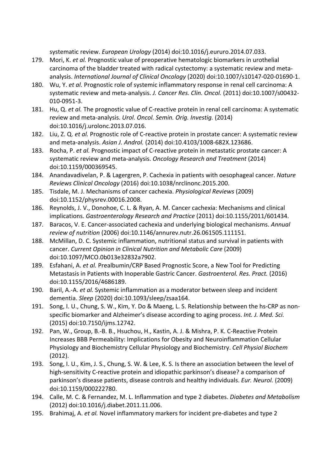systematic review. *European Urology* (2014) doi:10.1016/j.eururo.2014.07.033.

- 179. Mori, K. *et al.* Prognostic value of preoperative hematologic biomarkers in urothelial carcinoma of the bladder treated with radical cystectomy: a systematic review and metaanalysis. *International Journal of Clinical Oncology* (2020) doi:10.1007/s10147-020-01690-1.
- 180. Wu, Y. *et al.* Prognostic role of systemic inflammatory response in renal cell carcinoma: A systematic review and meta-analysis. *J. Cancer Res. Clin. Oncol.* (2011) doi:10.1007/s00432- 010-0951-3.
- 181. Hu, Q. *et al.* The prognostic value of C-reactive protein in renal cell carcinoma: A systematic review and meta-analysis. *Urol. Oncol. Semin. Orig. Investig.* (2014) doi:10.1016/j.urolonc.2013.07.016.
- 182. Liu, Z. Q. *et al.* Prognostic role of C-reactive protein in prostate cancer: A systematic review and meta-analysis. *Asian J. Androl.* (2014) doi:10.4103/1008-682X.123686.
- 183. Rocha, P. *et al.* Prognostic impact of C-reactive protein in metastatic prostate cancer: A systematic review and meta-analysis. *Oncology Research and Treatment* (2014) doi:10.1159/000369545.
- 184. Anandavadivelan, P. & Lagergren, P. Cachexia in patients with oesophageal cancer. *Nature Reviews Clinical Oncology* (2016) doi:10.1038/nrclinonc.2015.200.
- 185. Tisdale, M. J. Mechanisms of cancer cachexia. *Physiological Reviews* (2009) doi:10.1152/physrev.00016.2008.
- 186. Reynolds, J. V., Donohoe, C. L. & Ryan, A. M. Cancer cachexia: Mechanisms and clinical implications. *Gastroenterology Research and Practice* (2011) doi:10.1155/2011/601434.
- 187. Baracos, V. E. Cancer-associated cachexia and underlying biological mechanisms. *Annual review of nutrition* (2006) doi:10.1146/annurev.nutr.26.061505.111151.
- 188. McMillan, D. C. Systemic inflammation, nutritional status and survival in patients with cancer. *Current Opinion in Clinical Nutrition and Metabolic Care* (2009) doi:10.1097/MCO.0b013e32832a7902.
- 189. Esfahani, A. *et al.* Prealbumin/CRP Based Prognostic Score, a New Tool for Predicting Metastasis in Patients with Inoperable Gastric Cancer. *Gastroenterol. Res. Pract.* (2016) doi:10.1155/2016/4686189.
- 190. Baril, A.-A. *et al.* Systemic inflammation as a moderator between sleep and incident dementia. *Sleep* (2020) doi:10.1093/sleep/zsaa164.
- 191. Song, I. U., Chung, S. W., Kim, Y. Do & Maeng, L. S. Relationship between the hs-CRP as nonspecific biomarker and Alzheimer's disease according to aging process. *Int. J. Med. Sci.* (2015) doi:10.7150/ijms.12742.
- 192. Pan, W., Group, B.-B. B., Hsuchou, H., Kastin, A. J. & Mishra, P. K. C-Reactive Protein Increases BBB Permeability: Implications for Obesity and Neuroinflammation Cellular Physiology and Biochemistry Cellular Physiology and Biochemistry. *Cell Physiol Biochem* (2012).
- 193. Song, I. U., Kim, J. S., Chung, S. W. & Lee, K. S. Is there an association between the level of high-sensitivity C-reactive protein and idiopathic parkinson's disease? a comparison of parkinson's disease patients, disease controls and healthy individuals. *Eur. Neurol.* (2009) doi:10.1159/000222780.
- 194. Calle, M. C. & Fernandez, M. L. Inflammation and type 2 diabetes. *Diabetes and Metabolism* (2012) doi:10.1016/j.diabet.2011.11.006.
- 195. Brahimaj, A. *et al.* Novel inflammatory markers for incident pre-diabetes and type 2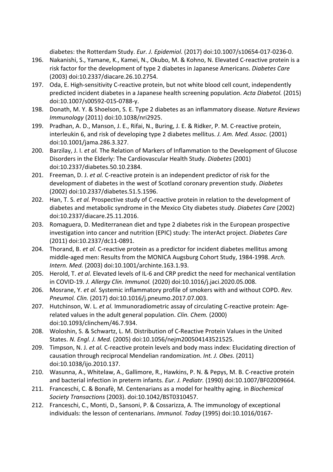diabetes: the Rotterdam Study. *Eur. J. Epidemiol.* (2017) doi:10.1007/s10654-017-0236-0.

- 196. Nakanishi, S., Yamane, K., Kamei, N., Okubo, M. & Kohno, N. Elevated C-reactive protein is a risk factor for the development of type 2 diabetes in Japanese Americans. *Diabetes Care* (2003) doi:10.2337/diacare.26.10.2754.
- 197. Oda, E. High-sensitivity C-reactive protein, but not white blood cell count, independently predicted incident diabetes in a Japanese health screening population. *Acta Diabetol.* (2015) doi:10.1007/s00592-015-0788-y.
- 198. Donath, M. Y. & Shoelson, S. E. Type 2 diabetes as an inflammatory disease. *Nature Reviews Immunology* (2011) doi:10.1038/nri2925.
- 199. Pradhan, A. D., Manson, J. E., Rifai, N., Buring, J. E. & Ridker, P. M. C-reactive protein, interleukin 6, and risk of developing type 2 diabetes mellitus. *J. Am. Med. Assoc.* (2001) doi:10.1001/jama.286.3.327.
- 200. Barzilay, J. I. *et al.* The Relation of Markers of Inflammation to the Development of Glucose Disorders in the Elderly: The Cardiovascular Health Study. *Diabetes* (2001) doi:10.2337/diabetes.50.10.2384.
- 201. Freeman, D. J. *et al.* C-reactive protein is an independent predictor of risk for the development of diabetes in the west of Scotland coronary prevention study. *Diabetes* (2002) doi:10.2337/diabetes.51.5.1596.
- 202. Han, T. S. *et al.* Prospective study of C-reactive protein in relation to the development of diabetes and metabolic syndrome in the Mexico City diabetes study. *Diabetes Care* (2002) doi:10.2337/diacare.25.11.2016.
- 203. Romaguera, D. Mediterranean diet and type 2 diabetes risk in the European prospective investigation into cancer and nutrition (EPIC) study: The interAct project. *Diabetes Care* (2011) doi:10.2337/dc11-0891.
- 204. Thorand, B. *et al.* C-reactive protein as a predictor for incident diabetes mellitus among middle-aged men: Results from the MONICA Augsburg Cohort Study, 1984-1998. *Arch. Intern. Med.* (2003) doi:10.1001/archinte.163.1.93.
- 205. Herold, T. *et al.* Elevated levels of IL-6 and CRP predict the need for mechanical ventilation in COVID-19. *J. Allergy Clin. Immunol.* (2020) doi:10.1016/j.jaci.2020.05.008.
- 206. Mosrane, Y. *et al.* Systemic inflammatory profile of smokers with and without COPD. *Rev. Pneumol. Clin.* (2017) doi:10.1016/j.pneumo.2017.07.003.
- 207. Hutchinson, W. L. *et al.* Immunoradiometric assay of circulating C-reactive protein: Agerelated values in the adult general population. *Clin. Chem.* (2000) doi:10.1093/clinchem/46.7.934.
- 208. Woloshin, S. & Schwartz, L. M. Distribution of C-Reactive Protein Values in the United States. *N. Engl. J. Med.* (2005) doi:10.1056/nejm200504143521525.
- 209. Timpson, N. J. *et al.* C-reactive protein levels and body mass index: Elucidating direction of causation through reciprocal Mendelian randomization. *Int. J. Obes.* (2011) doi:10.1038/ijo.2010.137.
- 210. Wasunna, A., Whitelaw, A., Gallimore, R., Hawkins, P. N. & Pepys, M. B. C-reactive protein and bacterial infection in preterm infants. *Eur. J. Pediatr.* (1990) doi:10.1007/BF02009664.
- 211. Franceschi, C. & Bonafè, M. Centenarians as a model for healthy aging. in *Biochemical Society Transactions* (2003). doi:10.1042/BST0310457.
- 212. Franceschi, C., Monti, D., Sansoni, P. & Cossarizza, A. The immunology of exceptional individuals: the lesson of centenarians. *Immunol. Today* (1995) doi:10.1016/0167-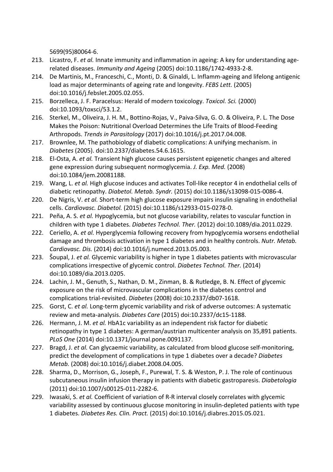5699(95)80064-6.

- 213. Licastro, F. *et al.* Innate immunity and inflammation in ageing: A key for understanding agerelated diseases. *Immunity and Ageing* (2005) doi:10.1186/1742-4933-2-8.
- 214. De Martinis, M., Franceschi, C., Monti, D. & Ginaldi, L. Inflamm-ageing and lifelong antigenic load as major determinants of ageing rate and longevity. *FEBS Lett.* (2005) doi:10.1016/j.febslet.2005.02.055.
- 215. Borzelleca, J. F. Paracelsus: Herald of modern toxicology. *Toxicol. Sci.* (2000) doi:10.1093/toxsci/53.1.2.
- 216. Sterkel, M., Oliveira, J. H. M., Bottino-Rojas, V., Paiva-Silva, G. O. & Oliveira, P. L. The Dose Makes the Poison: Nutritional Overload Determines the Life Traits of Blood-Feeding Arthropods. *Trends in Parasitology* (2017) doi:10.1016/j.pt.2017.04.008.
- 217. Brownlee, M. The pathobiology of diabetic complications: A unifying mechanism. in *Diabetes* (2005). doi:10.2337/diabetes.54.6.1615.
- 218. El-Osta, A. *et al.* Transient high glucose causes persistent epigenetic changes and altered gene expression during subsequent normoglycemia. *J. Exp. Med.* (2008) doi:10.1084/jem.20081188.
- 219. Wang, L. *et al.* High glucose induces and activates Toll-like receptor 4 in endothelial cells of diabetic retinopathy. *Diabetol. Metab. Syndr.* (2015) doi:10.1186/s13098-015-0086-4.
- 220. De Nigris, V. *et al.* Short-term high glucose exposure impairs insulin signaling in endothelial cells. *Cardiovasc. Diabetol.* (2015) doi:10.1186/s12933-015-0278-0.
- 221. Peña, A. S. *et al.* Hypoglycemia, but not glucose variability, relates to vascular function in children with type 1 diabetes. *Diabetes Technol. Ther.* (2012) doi:10.1089/dia.2011.0229.
- 222. Ceriello, A. *et al.* Hyperglycemia following recovery from hypoglycemia worsens endothelial damage and thrombosis activation in type 1 diabetes and in healthy controls. *Nutr. Metab. Cardiovasc. Dis.* (2014) doi:10.1016/j.numecd.2013.05.003.
- 223. Šoupal, J. *et al.* Glycemic variability is higher in type 1 diabetes patients with microvascular complications irrespective of glycemic control. *Diabetes Technol. Ther.* (2014) doi:10.1089/dia.2013.0205.
- 224. Lachin, J. M., Genuth, S., Nathan, D. M., Zinman, B. & Rutledge, B. N. Effect of glycemic exposure on the risk of microvascular complications in the diabetes control and complications trial-revisited. *Diabetes* (2008) doi:10.2337/db07-1618.
- 225. Gorst, C. *et al.* Long-term glycemic variability and risk of adverse outcomes: A systematic review and meta-analysis. *Diabetes Care* (2015) doi:10.2337/dc15-1188.
- 226. Hermann, J. M. *et al.* HbA1c variability as an independent risk factor for diabetic retinopathy in type 1 diabetes: A german/austrian multicenter analysis on 35,891 patients. *PLoS One* (2014) doi:10.1371/journal.pone.0091137.
- 227. Bragd, J. *et al.* Can glycaemic variability, as calculated from blood glucose self-monitoring, predict the development of complications in type 1 diabetes over a decade? *Diabetes Metab.* (2008) doi:10.1016/j.diabet.2008.04.005.
- 228. Sharma, D., Morrison, G., Joseph, F., Purewal, T. S. & Weston, P. J. The role of continuous subcutaneous insulin infusion therapy in patients with diabetic gastroparesis. *Diabetologia* (2011) doi:10.1007/s00125-011-2282-6.
- 229. Iwasaki, S. *et al.* Coefficient of variation of R-R interval closely correlates with glycemic variability assessed by continuous glucose monitoring in insulin-depleted patients with type 1 diabetes. *Diabetes Res. Clin. Pract.* (2015) doi:10.1016/j.diabres.2015.05.021.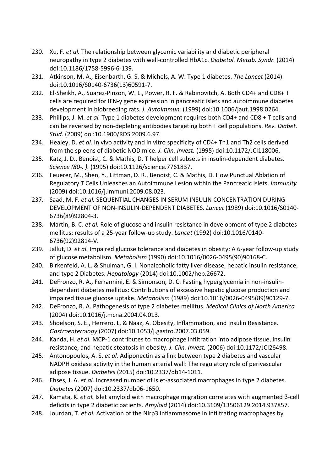- 230. Xu, F. *et al.* The relationship between glycemic variability and diabetic peripheral neuropathy in type 2 diabetes with well-controlled HbA1c. *Diabetol. Metab. Syndr.* (2014) doi:10.1186/1758-5996-6-139.
- 231. Atkinson, M. A., Eisenbarth, G. S. & Michels, A. W. Type 1 diabetes. *The Lancet* (2014) doi:10.1016/S0140-6736(13)60591-7.
- 232. El-Sheikh, A., Suarez-Pinzon, W. L., Power, R. F. & Rabinovitch, A. Both CD4+ and CD8+ T cells are required for IFN-γ gene expression in pancreatic islets and autoimmune diabetes development in biobreeding rats. *J. Autoimmun.* (1999) doi:10.1006/jaut.1998.0264.
- 233. Phillips, J. M. *et al.* Type 1 diabetes development requires both CD4+ and CD8 + T cells and can be reversed by non-depleting antibodies targeting both T cell populations. *Rev. Diabet. Stud.* (2009) doi:10.1900/RDS.2009.6.97.
- 234. Healey, D. *et al.* In vivo activity and in vitro specificity of CD4+ Th1 and Th2 cells derived from the spleens of diabetic NOD mice. *J. Clin. Invest.* (1995) doi:10.1172/JCI118006.
- 235. Katz, J. D., Benoist, C. & Mathis, D. T helper cell subsets in insulin-dependent diabetes. *Science (80-. ).* (1995) doi:10.1126/science.7761837.
- 236. Feuerer, M., Shen, Y., Littman, D. R., Benoist, C. & Mathis, D. How Punctual Ablation of Regulatory T Cells Unleashes an Autoimmune Lesion within the Pancreatic Islets. *Immunity* (2009) doi:10.1016/j.immuni.2009.08.023.
- 237. Saad, M. F. *et al.* SEQUENTIAL CHANGES IN SERUM INSULIN CONCENTRATION DURING DEVELOPMENT OF NON-INSULIN-DEPENDENT DIABETES. *Lancet* (1989) doi:10.1016/S0140- 6736(89)92804-3.
- 238. Martin, B. C. *et al.* Role of glucose and insulin resistance in development of type 2 diabetes mellitus: results of a 25-year follow-up study. *Lancet* (1992) doi:10.1016/0140- 6736(92)92814-V.
- 239. Jallut, D. *et al.* Impaired glucose tolerance and diabetes in obesity: A 6-year follow-up study of glucose metabolism. *Metabolism* (1990) doi:10.1016/0026-0495(90)90168-C.
- 240. Birkenfeld, A. L. & Shulman, G. I. Nonalcoholic fatty liver disease, hepatic insulin resistance, and type 2 Diabetes. *Hepatology* (2014) doi:10.1002/hep.26672.
- 241. DeFronzo, R. A., Ferrannini, E. & Simonson, D. C. Fasting hyperglycemia in non-insulindependent diabetes mellitus: Contributions of excessive hepatic glucose production and impaired tissue glucose uptake. *Metabolism* (1989) doi:10.1016/0026-0495(89)90129-7.
- 242. DeFronzo, R. A. Pathogenesis of type 2 diabetes mellitus. *Medical Clinics of North America* (2004) doi:10.1016/j.mcna.2004.04.013.
- 243. Shoelson, S. E., Herrero, L. & Naaz, A. Obesity, Inflammation, and Insulin Resistance. *Gastroenterology* (2007) doi:10.1053/j.gastro.2007.03.059.
- 244. Kanda, H. *et al.* MCP-1 contributes to macrophage infiltration into adipose tissue, insulin resistance, and hepatic steatosis in obesity. *J. Clin. Invest.* (2006) doi:10.1172/JCI26498.
- 245. Antonopoulos, A. S. *et al.* Adiponectin as a link between type 2 diabetes and vascular NADPH oxidase activity in the human arterial wall: The regulatory role of perivascular adipose tissue. *Diabetes* (2015) doi:10.2337/db14-1011.
- 246. Ehses, J. A. *et al.* Increased number of islet-associated macrophages in type 2 diabetes. *Diabetes* (2007) doi:10.2337/db06-1650.
- 247. Kamata, K. *et al.* Islet amyloid with macrophage migration correlates with augmented β-cell deficits in type 2 diabetic patients. *Amyloid* (2014) doi:10.3109/13506129.2014.937857.
- 248. Jourdan, T. *et al.* Activation of the Nlrp3 inflammasome in infiltrating macrophages by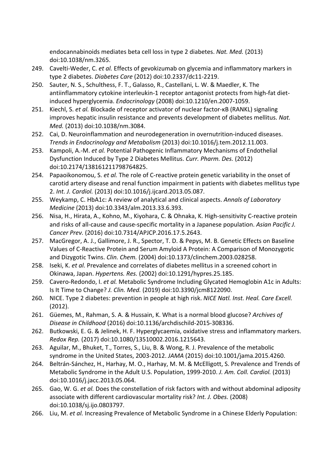endocannabinoids mediates beta cell loss in type 2 diabetes. *Nat. Med.* (2013) doi:10.1038/nm.3265.

- 249. Cavelti-Weder, C. *et al.* Effects of gevokizumab on glycemia and inflammatory markers in type 2 diabetes. *Diabetes Care* (2012) doi:10.2337/dc11-2219.
- 250. Sauter, N. S., Schulthess, F. T., Galasso, R., Castellani, L. W. & Maedler, K. The antiinflammatory cytokine interleukin-1 receptor antagonist protects from high-fat dietinduced hyperglycemia. *Endocrinology* (2008) doi:10.1210/en.2007-1059.
- 251. Kiechl, S. *et al.* Blockade of receptor activator of nuclear factor-κB (RANKL) signaling improves hepatic insulin resistance and prevents development of diabetes mellitus. *Nat. Med.* (2013) doi:10.1038/nm.3084.
- 252. Cai, D. Neuroinflammation and neurodegeneration in overnutrition-induced diseases. *Trends in Endocrinology and Metabolism* (2013) doi:10.1016/j.tem.2012.11.003.
- 253. Kampoli, A.-M. *et al.* Potential Pathogenic Inflammatory Mechanisms of Endothelial Dysfunction Induced by Type 2 Diabetes Mellitus. *Curr. Pharm. Des.* (2012) doi:10.2174/138161211798764825.
- 254. Papaoikonomou, S. *et al.* The role of C-reactive protein genetic variability in the onset of carotid artery disease and renal function impairment in patients with diabetes mellitus type 2. *Int. J. Cardiol.* (2013) doi:10.1016/j.ijcard.2013.05.087.
- 255. Weykamp, C. HbA1c: A review of analytical and clinical aspects. *Annals of Laboratory Medicine* (2013) doi:10.3343/alm.2013.33.6.393.
- 256. Nisa, H., Hirata, A., Kohno, M., Kiyohara, C. & Ohnaka, K. High-sensitivity C-reactive protein and risks of all-cause and cause-specific mortality in a Japanese population. *Asian Pacific J. Cancer Prev.* (2016) doi:10.7314/APJCP.2016.17.5.2643.
- 257. MacGregor, A. J., Gallimore, J. R., Spector, T. D. & Pepys, M. B. Genetic Effects on Baseline Values of C-Reactive Protein and Serum Amyloid A Protein: A Comparison of Monozygotic and Dizygotic Twins. *Clin. Chem.* (2004) doi:10.1373/clinchem.2003.028258.
- 258. Iseki, K. *et al.* Prevalence and correlates of diabetes mellitus in a screened cohort in Okinawa, Japan. *Hypertens. Res.* (2002) doi:10.1291/hypres.25.185.
- 259. Cavero-Redondo, I. *et al.* Metabolic Syndrome Including Glycated Hemoglobin A1c in Adults: Is It Time to Change? *J. Clin. Med.* (2019) doi:10.3390/jcm8122090.
- 260. NICE. Type 2 diabetes: prevention in people at high risk. *NICE Natl. Inst. Heal. Care Excell.* (2012).
- 261. Güemes, M., Rahman, S. A. & Hussain, K. What is a normal blood glucose? *Archives of Disease in Childhood* (2016) doi:10.1136/archdischild-2015-308336.
- 262. Butkowski, E. G. & Jelinek, H. F. Hyperglycaemia, oxidative stress and inflammatory markers. *Redox Rep.* (2017) doi:10.1080/13510002.2016.1215643.
- 263. Aguilar, M., Bhuket, T., Torres, S., Liu, B. & Wong, R. J. Prevalence of the metabolic syndrome in the United States, 2003-2012. *JAMA* (2015) doi:10.1001/jama.2015.4260.
- 264. Beltrán-Sánchez, H., Harhay, M. O., Harhay, M. M. & McElligott, S. Prevalence and Trends of Metabolic Syndrome in the Adult U.S. Population, 1999-2010. *J. Am. Coll. Cardiol.* (2013) doi:10.1016/j.jacc.2013.05.064.
- 265. Gao, W. G. *et al.* Does the constellation of risk factors with and without abdominal adiposity associate with different cardiovascular mortality risk? *Int. J. Obes.* (2008) doi:10.1038/sj.ijo.0803797.
- 266. Liu, M. *et al.* Increasing Prevalence of Metabolic Syndrome in a Chinese Elderly Population: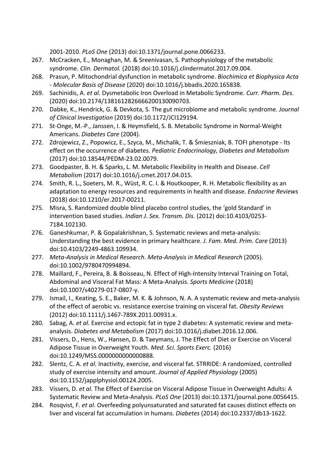2001-2010. *PLoS One* (2013) doi:10.1371/journal.pone.0066233.

- 267. McCracken, E., Monaghan, M. & Sreenivasan, S. Pathophysiology of the metabolic syndrome. *Clin. Dermatol.* (2018) doi:10.1016/j.clindermatol.2017.09.004.
- 268. Prasun, P. Mitochondrial dysfunction in metabolic syndrome. *Biochimica et Biophysica Acta - Molecular Basis of Disease* (2020) doi:10.1016/j.bbadis.2020.165838.
- 269. Sachinidis, A. *et al.* Dysmetabolic Iron Overload in Metabolic Syndrome. *Curr. Pharm. Des.* (2020) doi:10.2174/1381612826666200130090703.
- 270. Dabke, K., Hendrick, G. & Devkota, S. The gut microbiome and metabolic syndrome. *Journal of Clinical Investigation* (2019) doi:10.1172/JCI129194.
- 271. St-Onge, M.-P., Janssen, I. & Heymsfield, S. B. Metabolic Syndrome in Normal-Weight Americans. *Diabetes Care* (2004).
- 272. Zdrojewicz, Z., Popowicz, E., Szyca, M., Michalik, T. & Śmieszniak, B. TOFI phenotype Its effect on the occurrence of diabetes. *Pediatric Endocrinology, Diabetes and Metabolism* (2017) doi:10.18544/PEDM-23.02.0079.
- 273. Goodpaster, B. H. & Sparks, L. M. Metabolic Flexibility in Health and Disease. *Cell Metabolism* (2017) doi:10.1016/j.cmet.2017.04.015.
- 274. Smith, R. L., Soeters, M. R., Wüst, R. C. I. & Houtkooper, R. H. Metabolic flexibility as an adaptation to energy resources and requirements in health and disease. *Endocrine Reviews* (2018) doi:10.1210/er.2017-00211.
- 275. Misra, S. Randomized double blind placebo control studies, the 'gold Standard' in intervention based studies. *Indian J. Sex. Transm. Dis.* (2012) doi:10.4103/0253- 7184.102130.
- 276. Ganeshkumar, P. & Gopalakrishnan, S. Systematic reviews and meta-analysis: Understanding the best evidence in primary healthcare. *J. Fam. Med. Prim. Care* (2013) doi:10.4103/2249-4863.109934.
- 277. *Meta-Analysis in Medical Research*. *Meta-Analysis in Medical Research* (2005). doi:10.1002/9780470994894.
- 278. Maillard, F., Pereira, B. & Boisseau, N. Effect of High-Intensity Interval Training on Total, Abdominal and Visceral Fat Mass: A Meta-Analysis. *Sports Medicine* (2018) doi:10.1007/s40279-017-0807-y.
- 279. Ismail, I., Keating, S. E., Baker, M. K. & Johnson, N. A. A systematic review and meta-analysis of the effect of aerobic vs. resistance exercise training on visceral fat. *Obesity Reviews* (2012) doi:10.1111/j.1467-789X.2011.00931.x.
- 280. Sabag, A. *et al.* Exercise and ectopic fat in type 2 diabetes: A systematic review and metaanalysis. *Diabetes and Metabolism* (2017) doi:10.1016/j.diabet.2016.12.006.
- 281. Vissers, D., Hens, W., Hansen, D. & Taeymans, J. The Effect of Diet or Exercise on Visceral Adipose Tissue in Overweight Youth. *Med. Sci. Sports Exerc.* (2016) doi:10.1249/MSS.0000000000000888.
- 282. Slentz, C. A. *et al.* Inactivity, exercise, and visceral fat. STRRIDE: A randomized, controlled study of exercise intensity and amount. *Journal of Applied Physiology* (2005) doi:10.1152/japplphysiol.00124.2005.
- 283. Vissers, D. *et al.* The Effect of Exercise on Visceral Adipose Tissue in Overweight Adults: A Systematic Review and Meta-Analysis. *PLoS One* (2013) doi:10.1371/journal.pone.0056415.
- 284. Rosqvist, F. *et al.* Overfeeding polyunsaturated and saturated fat causes distinct effects on liver and visceral fat accumulation in humans. *Diabetes* (2014) doi:10.2337/db13-1622.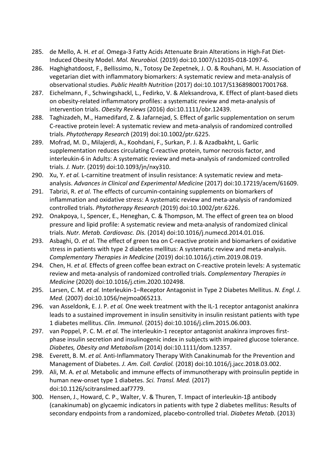- 285. de Mello, A. H. *et al.* Omega-3 Fatty Acids Attenuate Brain Alterations in High-Fat Diet-Induced Obesity Model. *Mol. Neurobiol.* (2019) doi:10.1007/s12035-018-1097-6.
- 286. Haghighatdoost, F., Bellissimo, N., Totosy De Zepetnek, J. O. & Rouhani, M. H. Association of vegetarian diet with inflammatory biomarkers: A systematic review and meta-analysis of observational studies. *Public Health Nutrition* (2017) doi:10.1017/S1368980017001768.
- 287. Eichelmann, F., Schwingshackl, L., Fedirko, V. & Aleksandrova, K. Effect of plant-based diets on obesity-related inflammatory profiles: a systematic review and meta-analysis of intervention trials. *Obesity Reviews* (2016) doi:10.1111/obr.12439.
- 288. Taghizadeh, M., Hamedifard, Z. & Jafarnejad, S. Effect of garlic supplementation on serum C-reactive protein level: A systematic review and meta-analysis of randomized controlled trials. *Phytotherapy Research* (2019) doi:10.1002/ptr.6225.
- 289. Mofrad, M. D., Milajerdi, A., Koohdani, F., Surkan, P. J. & Azadbakht, L. Garlic supplementation reduces circulating C-reactive protein, tumor necrosis factor, and interleukin-6 in Adults: A systematic review and meta-analysis of randomized controlled trials. *J. Nutr.* (2019) doi:10.1093/jn/nxy310.
- 290. Xu, Y. *et al.* L-carnitine treatment of insulin resistance: A systematic review and metaanalysis. *Advances in Clinical and Experimental Medicine* (2017) doi:10.17219/acem/61609.
- 291. Tabrizi, R. *et al.* The effects of curcumin-containing supplements on biomarkers of inflammation and oxidative stress: A systematic review and meta-analysis of randomized controlled trials. *Phytotherapy Research* (2019) doi:10.1002/ptr.6226.
- 292. Onakpoya, I., Spencer, E., Heneghan, C. & Thompson, M. The effect of green tea on blood pressure and lipid profile: A systematic review and meta-analysis of randomized clinical trials. *Nutr. Metab. Cardiovasc. Dis.* (2014) doi:10.1016/j.numecd.2014.01.016.
- 293. Asbaghi, O. *et al.* The effect of green tea on C-reactive protein and biomarkers of oxidative stress in patients with type 2 diabetes mellitus: A systematic review and meta-analysis. *Complementary Therapies in Medicine* (2019) doi:10.1016/j.ctim.2019.08.019.
- 294. Chen, H. *et al.* Effects of green coffee bean extract on C-reactive protein levels: A systematic review and meta-analysis of randomized controlled trials. *Complementary Therapies in Medicine* (2020) doi:10.1016/j.ctim.2020.102498.
- 295. Larsen, C. M. *et al.* Interleukin-1–Receptor Antagonist in Type 2 Diabetes Mellitus. *N. Engl. J. Med.* (2007) doi:10.1056/nejmoa065213.
- 296. van Asseldonk, E. J. P. *et al.* One week treatment with the IL-1 receptor antagonist anakinra leads to a sustained improvement in insulin sensitivity in insulin resistant patients with type 1 diabetes mellitus. *Clin. Immunol.* (2015) doi:10.1016/j.clim.2015.06.003.
- 297. van Poppel, P. C. M. *et al.* The interleukin-1 receptor antagonist anakinra improves firstphase insulin secretion and insulinogenic index in subjects with impaired glucose tolerance. *Diabetes, Obesity and Metabolism* (2014) doi:10.1111/dom.12357.
- 298. Everett, B. M. *et al.* Anti-Inflammatory Therapy With Canakinumab for the Prevention and Management of Diabetes. *J. Am. Coll. Cardiol.* (2018) doi:10.1016/j.jacc.2018.03.002.
- 299. Ali, M. A. *et al.* Metabolic and immune effects of immunotherapy with proinsulin peptide in human new-onset type 1 diabetes. *Sci. Transl. Med.* (2017) doi:10.1126/scitranslmed.aaf7779.
- 300. Hensen, J., Howard, C. P., Walter, V. & Thuren, T. Impact of interleukin-1β antibody (canakinumab) on glycaemic indicators in patients with type 2 diabetes mellitus: Results of secondary endpoints from a randomized, placebo-controlled trial. *Diabetes Metab.* (2013)